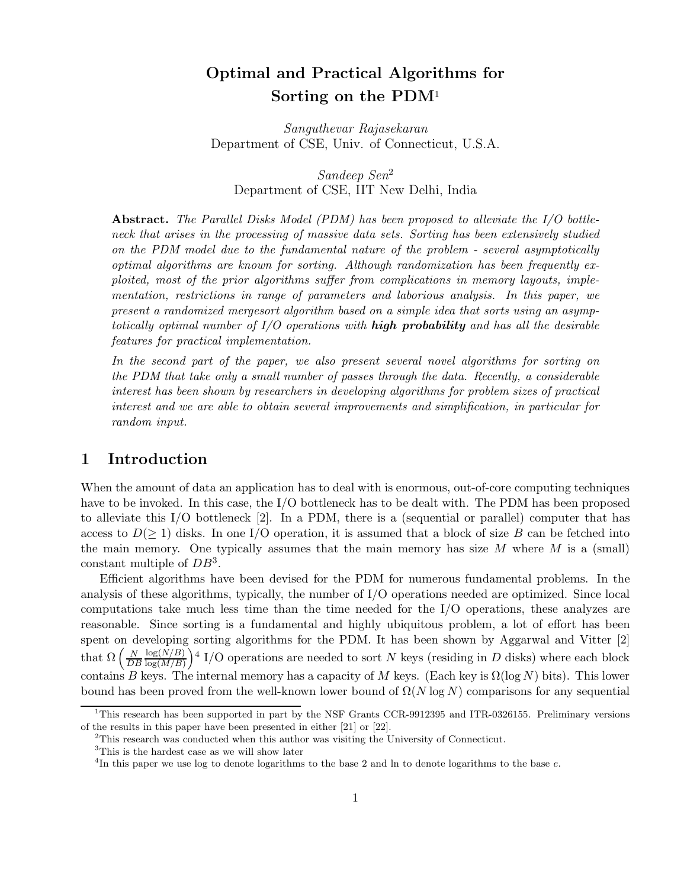# Optimal and Practical Algorithms for Sorting on the PDM<sup>1</sup>

Sanguthevar Rajasekaran Department of CSE, Univ. of Connecticut, U.S.A.

Sandeep Sen<sup>2</sup> Department of CSE, IIT New Delhi, India

**Abstract.** The Parallel Disks Model (PDM) has been proposed to alleviate the  $I/O$  bottleneck that arises in the processing of massive data sets. Sorting has been extensively studied on the PDM model due to the fundamental nature of the problem - several asymptotically optimal algorithms are known for sorting. Although randomization has been frequently exploited, most of the prior algorithms suffer from complications in memory layouts, implementation, restrictions in range of parameters and laborious analysis. In this paper, we present a randomized mergesort algorithm based on a simple idea that sorts using an asymptotically optimal number of  $I/O$  operations with **high probability** and has all the desirable features for practical implementation.

In the second part of the paper, we also present several novel algorithms for sorting on the PDM that take only a small number of passes through the data. Recently, a considerable interest has been shown by researchers in developing algorithms for problem sizes of practical interest and we are able to obtain several improvements and simplification, in particular for random input.

# 1 Introduction

When the amount of data an application has to deal with is enormous, out-of-core computing techniques have to be invoked. In this case, the I/O bottleneck has to be dealt with. The PDM has been proposed to alleviate this I/O bottleneck [2]. In a PDM, there is a (sequential or parallel) computer that has access to  $D(\geq 1)$  disks. In one I/O operation, it is assumed that a block of size B can be fetched into the main memory. One typically assumes that the main memory has size  $M$  where  $M$  is a (small) constant multiple of  $DB^3$ .

Efficient algorithms have been devised for the PDM for numerous fundamental problems. In the analysis of these algorithms, typically, the number of I/O operations needed are optimized. Since local computations take much less time than the time needed for the I/O operations, these analyzes are reasonable. Since sorting is a fundamental and highly ubiquitous problem, a lot of effort has been spent on developing sorting algorithms for the PDM. It has been shown by Aggarwal and Vitter [2] that  $\Omega\left(\frac{N}{DB}\right)$  $N \log(N/B)$  $log(M/B)$  $\Big)$ <sup>4</sup> I/O operations are needed to sort N keys (residing in D disks) where each block contains B keys. The internal memory has a capacity of M keys. (Each key is  $\Omega(\log N)$  bits). This lower bound has been proved from the well-known lower bound of  $\Omega(N \log N)$  comparisons for any sequential

<sup>&</sup>lt;sup>1</sup>This research has been supported in part by the NSF Grants CCR-9912395 and ITR-0326155. Preliminary versions of the results in this paper have been presented in either [21] or [22].

<sup>2</sup>This research was conducted when this author was visiting the University of Connecticut.

<sup>&</sup>lt;sup>3</sup>This is the hardest case as we will show later

<sup>&</sup>lt;sup>4</sup>In this paper we use log to denote logarithms to the base 2 and ln to denote logarithms to the base  $e$ .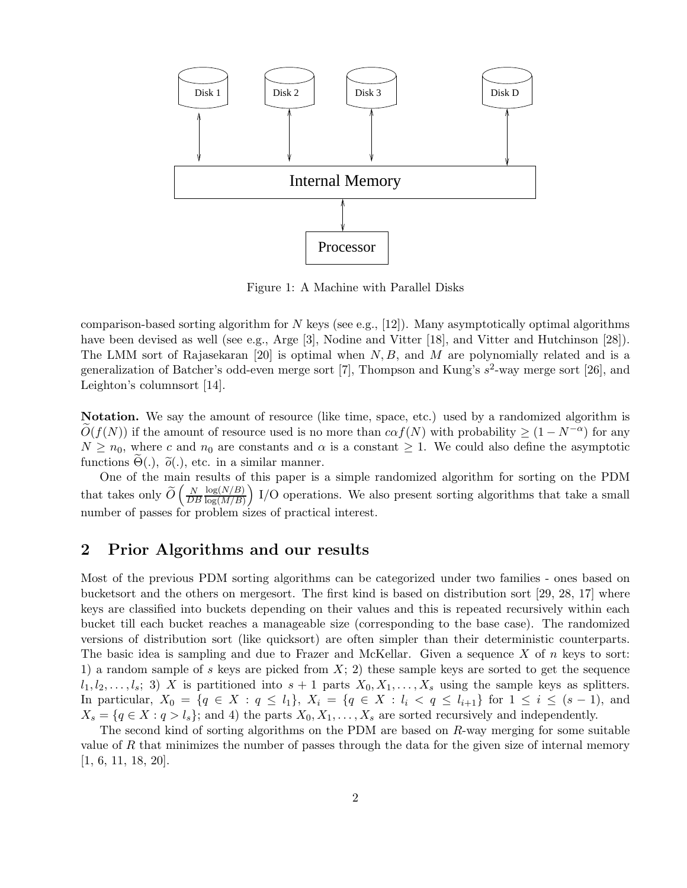

Figure 1: A Machine with Parallel Disks

comparison-based sorting algorithm for N keys (see e.g., [12]). Many asymptotically optimal algorithms have been devised as well (see e.g., Arge [3], Nodine and Vitter [18], and Vitter and Hutchinson [28]). The LMM sort of Rajasekaran [20] is optimal when  $N, B$ , and M are polynomially related and is a generalization of Batcher's odd-even merge sort [7], Thompson and Kung's  $s^2$ -way merge sort [26], and Leighton's columnsort [14].

Notation. We say the amount of resource (like time, space, etc.) used by a randomized algorithm is  $\tilde{O}(f(N))$  if the amount of resource used is no more than  $c\alpha f(N)$  with probability  $\geq (1 - N^{-\alpha})$  for any  $N \geq n_0$ , where c and  $n_0$  are constants and  $\alpha$  is a constant  $\geq 1$ . We could also define the asymptotic functions  $\Theta(.)$ ,  $\tilde{\rho}(.)$ , etc. in a similar manner.

One of the main results of this paper is a simple randomized algorithm for sorting on the PDM that takes only  $\widetilde{O}\left(\frac{N}{D^2}\right)$ DB  $log(N/B)$  $log(M/B)$  $\big)$  I/O operations. We also present sorting algorithms that take a small number of passes for problem sizes of practical interest.

# 2 Prior Algorithms and our results

Most of the previous PDM sorting algorithms can be categorized under two families - ones based on bucketsort and the others on mergesort. The first kind is based on distribution sort [29, 28, 17] where keys are classified into buckets depending on their values and this is repeated recursively within each bucket till each bucket reaches a manageable size (corresponding to the base case). The randomized versions of distribution sort (like quicksort) are often simpler than their deterministic counterparts. The basic idea is sampling and due to Frazer and McKellar. Given a sequence  $X$  of n keys to sort: 1) a random sample of s keys are picked from  $X$ ; 2) these sample keys are sorted to get the sequence  $l_1, l_2, \ldots, l_s; 3)$  X is partitioned into  $s + 1$  parts  $X_0, X_1, \ldots, X_s$  using the sample keys as splitters. In particular,  $X_0 = \{q \in X : q \leq l_1\}, X_i = \{q \in X : l_i < q \leq l_{i+1}\}\$  for  $1 \leq i \leq (s-1)$ , and  $X_s = \{q \in X : q > l_s\};$  and 4) the parts  $X_0, X_1, \ldots, X_s$  are sorted recursively and independently.

The second kind of sorting algorithms on the PDM are based on R-way merging for some suitable value of R that minimizes the number of passes through the data for the given size of internal memory [1, 6, 11, 18, 20].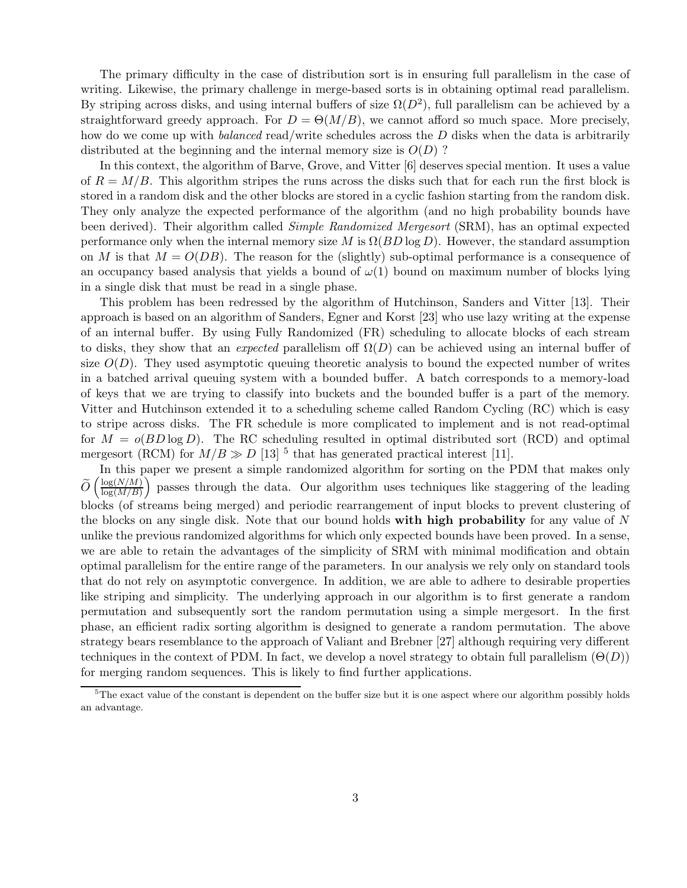The primary difficulty in the case of distribution sort is in ensuring full parallelism in the case of writing. Likewise, the primary challenge in merge-based sorts is in obtaining optimal read parallelism. By striping across disks, and using internal buffers of size  $\Omega(D^2)$ , full parallelism can be achieved by a straightforward greedy approach. For  $D = \Theta(M/B)$ , we cannot afford so much space. More precisely, how do we come up with *balanced* read/write schedules across the D disks when the data is arbitrarily distributed at the beginning and the internal memory size is  $O(D)$ ?

In this context, the algorithm of Barve, Grove, and Vitter [6] deserves special mention. It uses a value of  $R = M/B$ . This algorithm stripes the runs across the disks such that for each run the first block is stored in a random disk and the other blocks are stored in a cyclic fashion starting from the random disk. They only analyze the expected performance of the algorithm (and no high probability bounds have been derived). Their algorithm called *Simple Randomized Mergesort* (SRM), has an optimal expected performance only when the internal memory size M is  $\Omega(BD \log D)$ . However, the standard assumption on M is that  $M = O(DB)$ . The reason for the (slightly) sub-optimal performance is a consequence of an occupancy based analysis that yields a bound of  $\omega(1)$  bound on maximum number of blocks lying in a single disk that must be read in a single phase.

This problem has been redressed by the algorithm of Hutchinson, Sanders and Vitter [13]. Their approach is based on an algorithm of Sanders, Egner and Korst [23] who use lazy writing at the expense of an internal buffer. By using Fully Randomized (FR) scheduling to allocate blocks of each stream to disks, they show that an expected parallelism of  $\Omega(D)$  can be achieved using an internal buffer of size  $O(D)$ . They used asymptotic queuing theoretic analysis to bound the expected number of writes in a batched arrival queuing system with a bounded buffer. A batch corresponds to a memory-load of keys that we are trying to classify into buckets and the bounded buffer is a part of the memory. Vitter and Hutchinson extended it to a scheduling scheme called Random Cycling (RC) which is easy to stripe across disks. The FR schedule is more complicated to implement and is not read-optimal for  $M = o(BD \log D)$ . The RC scheduling resulted in optimal distributed sort (RCD) and optimal mergesort (RCM) for  $M/B \gg D$  [13]<sup>5</sup> that has generated practical interest [11].

In this paper we present a simple randomized algorithm for sorting on the PDM that makes only  $\overline{O}$  $\int$ log $(N/M)$  $log(M/B)$ passes through the data. Our algorithm uses techniques like staggering of the leading blocks (of streams being merged) and periodic rearrangement of input blocks to prevent clustering of the blocks on any single disk. Note that our bound holds with high probability for any value of N unlike the previous randomized algorithms for which only expected bounds have been proved. In a sense, we are able to retain the advantages of the simplicity of SRM with minimal modification and obtain optimal parallelism for the entire range of the parameters. In our analysis we rely only on standard tools that do not rely on asymptotic convergence. In addition, we are able to adhere to desirable properties like striping and simplicity. The underlying approach in our algorithm is to first generate a random permutation and subsequently sort the random permutation using a simple mergesort. In the first phase, an efficient radix sorting algorithm is designed to generate a random permutation. The above strategy bears resemblance to the approach of Valiant and Brebner [27] although requiring very different techniques in the context of PDM. In fact, we develop a novel strategy to obtain full parallelism  $(\Theta(D))$ for merging random sequences. This is likely to find further applications.

 $5$ The exact value of the constant is dependent on the buffer size but it is one aspect where our algorithm possibly holds an advantage.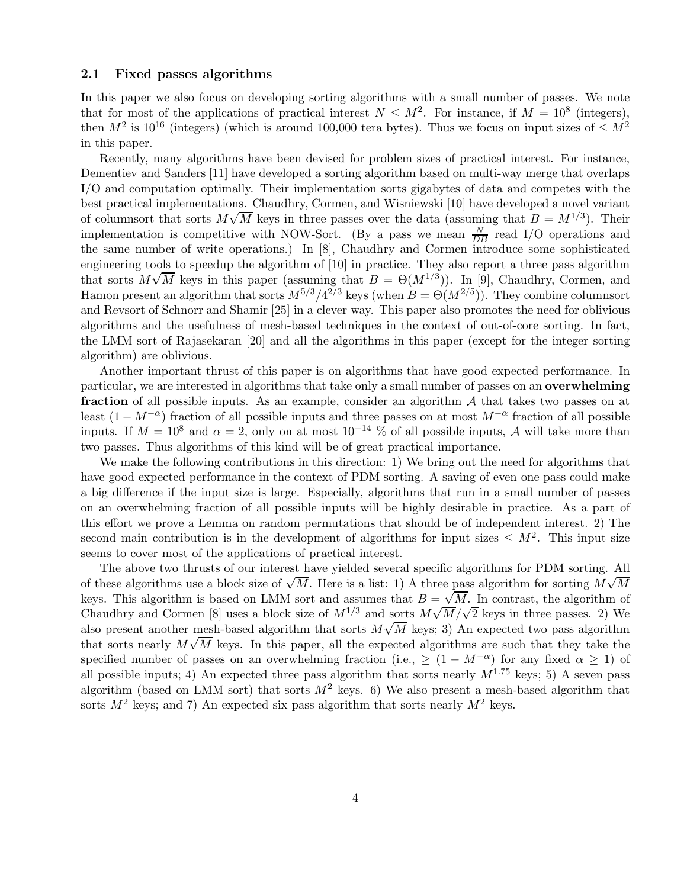#### 2.1 Fixed passes algorithms

In this paper we also focus on developing sorting algorithms with a small number of passes. We note that for most of the applications of practical interest  $N \leq M^2$ . For instance, if  $M = 10^8$  (integers), then  $M^2$  is 10<sup>16</sup> (integers) (which is around 100,000 tera bytes). Thus we focus on input sizes of  $\leq M^2$ in this paper.

Recently, many algorithms have been devised for problem sizes of practical interest. For instance, Dementiev and Sanders [11] have developed a sorting algorithm based on multi-way merge that overlaps I/O and computation optimally. Their implementation sorts gigabytes of data and competes with the best practical implementations. Chaudhry, Cormen, and Wisniewski [10] have developed a novel variant of columnsort that sorts  $M\sqrt{M}$  keys in three passes over the data (assuming that  $B = M^{1/3}$ ). Their implementation is competitive with NOW-Sort. (By a pass we mean  $\frac{N}{DB}$  read I/O operations and the same number of write operations.) In [8], Chaudhry and Cormen introduce some sophisticated engineering tools to speedup the algorithm of [10] in practice. They also report a three pass algorithm that sorts  $M\sqrt{M}$  keys in this paper (assuming that  $B = \Theta(M^{1/3})$ ). In [9], Chaudhry, Cormen, and Hamon present an algorithm that sorts  $M^{5/3}/4^{2/3}$  keys (when  $B = \Theta(M^{2/5})$ ). They combine columnsort and Revsort of Schnorr and Shamir [25] in a clever way. This paper also promotes the need for oblivious algorithms and the usefulness of mesh-based techniques in the context of out-of-core sorting. In fact, the LMM sort of Rajasekaran [20] and all the algorithms in this paper (except for the integer sorting algorithm) are oblivious.

Another important thrust of this paper is on algorithms that have good expected performance. In particular, we are interested in algorithms that take only a small number of passes on an overwhelming fraction of all possible inputs. As an example, consider an algorithm  $A$  that takes two passes on at least  $(1 - M^{-\alpha})$  fraction of all possible inputs and three passes on at most  $M^{-\alpha}$  fraction of all possible inputs. If  $M = 10^8$  and  $\alpha = 2$ , only on at most  $10^{-14}$  % of all possible inputs, A will take more than two passes. Thus algorithms of this kind will be of great practical importance.

We make the following contributions in this direction: 1) We bring out the need for algorithms that have good expected performance in the context of PDM sorting. A saving of even one pass could make a big difference if the input size is large. Especially, algorithms that run in a small number of passes on an overwhelming fraction of all possible inputs will be highly desirable in practice. As a part of this effort we prove a Lemma on random permutations that should be of independent interest. 2) The second main contribution is in the development of algorithms for input sizes  $\leq M^2$ . This input size seems to cover most of the applications of practical interest.

The above two thrusts of our interest have yielded several specific algorithms for PDM sorting. All of these algorithms use a block size of  $\sqrt{M}$ . Here is a list: 1) A three pass algorithm for sorting  $M\sqrt{M}$ keys. This algorithm is based on LMM sort and assumes that  $B = \sqrt{M}$ . In contrast, the algorithm of Chaudhry and Cormen [8] uses a block size of  $M^{1/3}$  and sorts  $M\sqrt{M}/\sqrt{2}$  keys in three passes. 2) We also present another mesh-based algorithm that sorts  $M\sqrt{M}$  keys; 3) An expected two pass algorithm that sorts nearly  $M\sqrt{M}$  keys. In this paper, all the expected algorithms are such that they take the specified number of passes on an overwhelming fraction (i.e.,  $\geq (1 - M^{-\alpha})$  for any fixed  $\alpha \geq 1$ ) of all possible inputs; 4) An expected three pass algorithm that sorts nearly  $M^{1.75}$  keys; 5) A seven pass algorithm (based on LMM sort) that sorts  $M^2$  keys. 6) We also present a mesh-based algorithm that sorts  $M^2$  keys; and 7) An expected six pass algorithm that sorts nearly  $M^2$  keys.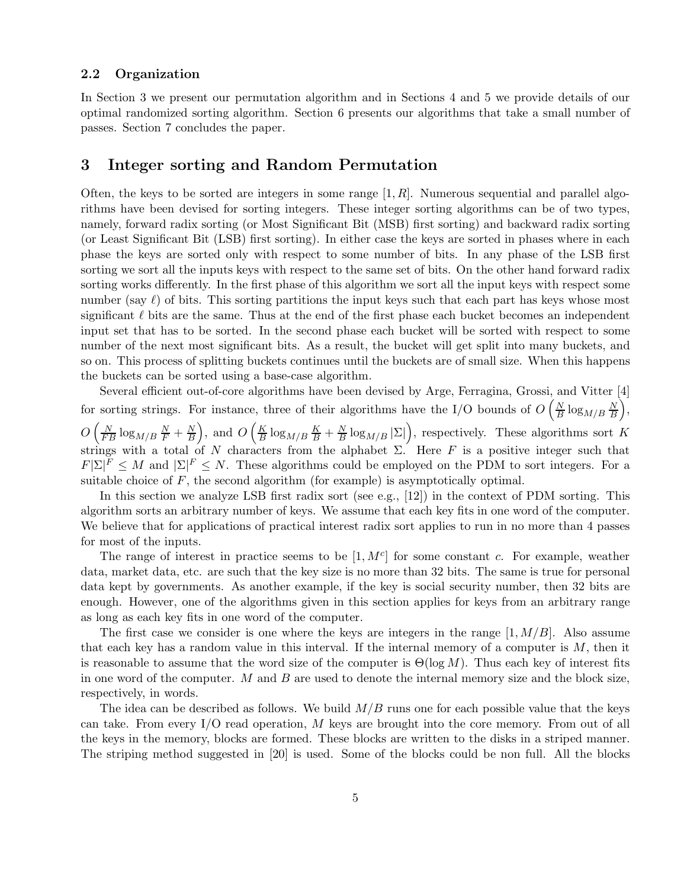### 2.2 Organization

In Section 3 we present our permutation algorithm and in Sections 4 and 5 we provide details of our optimal randomized sorting algorithm. Section 6 presents our algorithms that take a small number of passes. Section 7 concludes the paper.

# 3 Integer sorting and Random Permutation

Often, the keys to be sorted are integers in some range  $[1, R]$ . Numerous sequential and parallel algorithms have been devised for sorting integers. These integer sorting algorithms can be of two types, namely, forward radix sorting (or Most Significant Bit (MSB) first sorting) and backward radix sorting (or Least Significant Bit (LSB) first sorting). In either case the keys are sorted in phases where in each phase the keys are sorted only with respect to some number of bits. In any phase of the LSB first sorting we sort all the inputs keys with respect to the same set of bits. On the other hand forward radix sorting works differently. In the first phase of this algorithm we sort all the input keys with respect some number (say  $\ell$ ) of bits. This sorting partitions the input keys such that each part has keys whose most significant  $\ell$  bits are the same. Thus at the end of the first phase each bucket becomes an independent input set that has to be sorted. In the second phase each bucket will be sorted with respect to some number of the next most significant bits. As a result, the bucket will get split into many buckets, and so on. This process of splitting buckets continues until the buckets are of small size. When this happens the buckets can be sorted using a base-case algorithm.

Several efficient out-of-core algorithms have been devised by Arge, Ferragina, Grossi, and Vitter [4] for sorting strings. For instance, three of their algorithms have the I/O bounds of  $O\left(\frac{N}{R}\right)$  $\frac{N}{B} \log_{M/B} \frac{N}{B}$ B  $\bigg),\$  $O\left(\frac{N}{FB}\log_{M/B}\frac{N}{F}+\frac{N}{B}\right)$ B ), and  $O\left(\frac{K}{B}\right)$  $\frac{K}{B} \log_{M/B} \frac{K}{B} + \frac{N}{B}$  $\frac{N}{B} \log_{M/B} |\Sigma|$ , respectively. These algorithms sort K strings with a total of N characters from the alphabet  $\Sigma$ . Here F is a positive integer such that  $F[\Sigma]^F \leq M$  and  $[\Sigma]^F \leq N$ . These algorithms could be employed on the PDM to sort integers. For a suitable choice of  $F$ , the second algorithm (for example) is asymptotically optimal.

In this section we analyze LSB first radix sort (see e.g., [12]) in the context of PDM sorting. This algorithm sorts an arbitrary number of keys. We assume that each key fits in one word of the computer. We believe that for applications of practical interest radix sort applies to run in no more than 4 passes for most of the inputs.

The range of interest in practice seems to be  $[1, M<sup>c</sup>]$  for some constant c. For example, weather data, market data, etc. are such that the key size is no more than 32 bits. The same is true for personal data kept by governments. As another example, if the key is social security number, then 32 bits are enough. However, one of the algorithms given in this section applies for keys from an arbitrary range as long as each key fits in one word of the computer.

The first case we consider is one where the keys are integers in the range  $[1, M/B]$ . Also assume that each key has a random value in this interval. If the internal memory of a computer is  $M$ , then it is reasonable to assume that the word size of the computer is  $\Theta(\log M)$ . Thus each key of interest fits in one word of the computer.  $M$  and  $B$  are used to denote the internal memory size and the block size, respectively, in words.

The idea can be described as follows. We build  $M/B$  runs one for each possible value that the keys can take. From every  $I/O$  read operation, M keys are brought into the core memory. From out of all the keys in the memory, blocks are formed. These blocks are written to the disks in a striped manner. The striping method suggested in [20] is used. Some of the blocks could be non full. All the blocks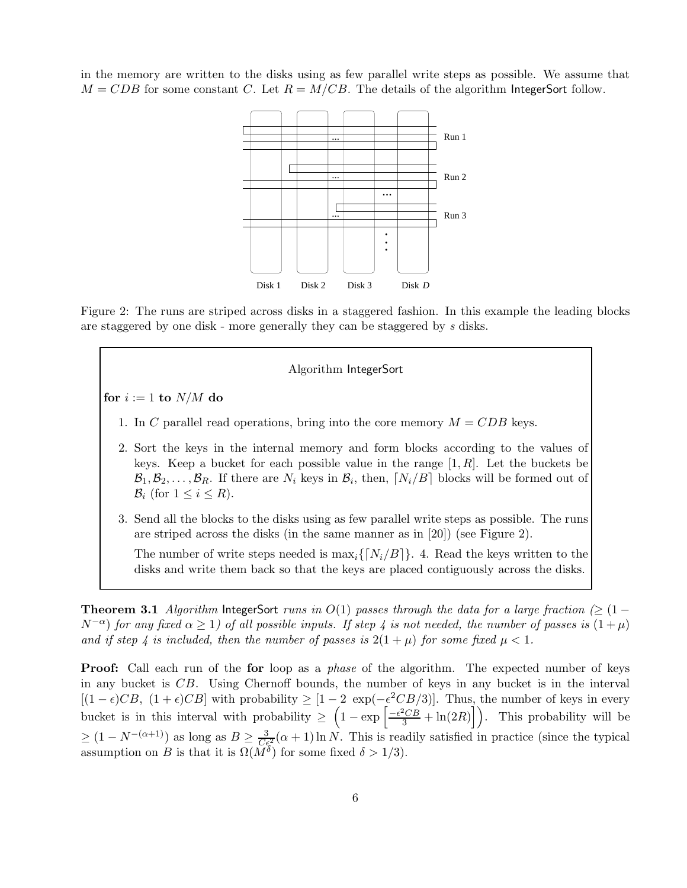in the memory are written to the disks using as few parallel write steps as possible. We assume that  $M = CDB$  for some constant C. Let  $R = M/CB$ . The details of the algorithm IntegerSort follow.



Figure 2: The runs are striped across disks in a staggered fashion. In this example the leading blocks are staggered by one disk - more generally they can be staggered by s disks.

#### Algorithm IntegerSort

for  $i := 1$  to  $N/M$  do

- 1. In C parallel read operations, bring into the core memory  $M = CDB$  keys.
- 2. Sort the keys in the internal memory and form blocks according to the values of keys. Keep a bucket for each possible value in the range  $[1, R]$ . Let the buckets be  $\mathcal{B}_1, \mathcal{B}_2, \ldots, \mathcal{B}_R$ . If there are  $N_i$  keys in  $\mathcal{B}_i$ , then,  $\lceil N_i/B \rceil$  blocks will be formed out of  $\mathcal{B}_i$  (for  $1 \leq i \leq R$ ).
- 3. Send all the blocks to the disks using as few parallel write steps as possible. The runs are striped across the disks (in the same manner as in [20]) (see Figure 2).

The number of write steps needed is  $\max_i\{N_i/B\}$ . 4. Read the keys written to the disks and write them back so that the keys are placed contiguously across the disks.

**Theorem 3.1** Algorithm IntegerSort runs in  $O(1)$  passes through the data for a large fraction ( $\geq$  (1 –  $N^{-\alpha}$ ) for any fixed  $\alpha \ge 1$ ) of all possible inputs. If step 4 is not needed, the number of passes is  $(1+\mu)$ and if step 4 is included, then the number of passes is  $2(1 + \mu)$  for some fixed  $\mu < 1$ .

**Proof:** Call each run of the for loop as a *phase* of the algorithm. The expected number of keys in any bucket is CB. Using Chernoff bounds, the number of keys in any bucket is in the interval  $[(1 - \epsilon)CB, (1 + \epsilon)CB]$  with probability  $\geq [1 - 2 \exp(-\epsilon^2CB/3)]$ . Thus, the number of keys in every bucket is in this interval with probability  $\geq \left(1 - \exp\left[\frac{-\epsilon^2 C B}{3} + \ln(2R)\right]\right)$ . This probability will be  $\geq (1 - N^{-(\alpha+1)})$  as long as  $B \geq \frac{3}{C_{\epsilon}^2}(\alpha+1) \ln N$ . This is readily satisfied in practice (since the typical assumption on B is that it is  $\Omega(M^{\delta})$  for some fixed  $\delta > 1/3$ .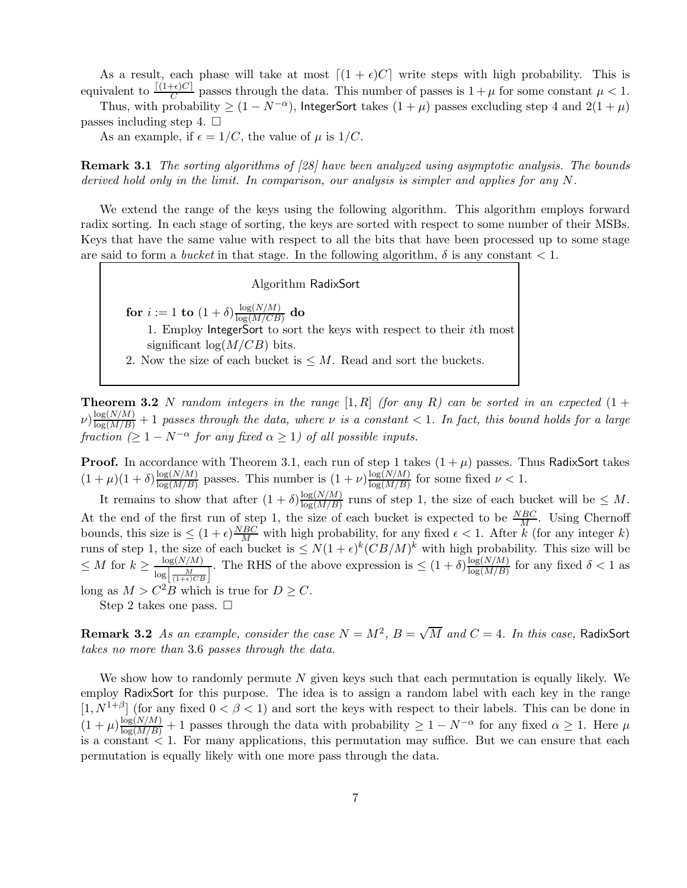As a result, each phase will take at most  $\lceil (1 + \epsilon)C \rceil$  write steps with high probability. This is equivalent to  $\frac{[(1+\epsilon)C]}{C}$  passes through the data. This number of passes is  $1+\mu$  for some constant  $\mu < 1$ .

Thus, with probability  $\geq (1 - N^{-\alpha})$ , IntegerSort takes  $(1 + \mu)$  passes excluding step 4 and  $2(1 + \mu)$ passes including step 4.  $\Box$ 

As an example, if  $\epsilon = 1/C$ , the value of  $\mu$  is  $1/C$ .

Remark 3.1 The sorting algorithms of [28] have been analyzed using asymptotic analysis. The bounds derived hold only in the limit. In comparison, our analysis is simpler and applies for any N.

We extend the range of the keys using the following algorithm. This algorithm employs forward radix sorting. In each stage of sorting, the keys are sorted with respect to some number of their MSBs. Keys that have the same value with respect to all the bits that have been processed up to some stage are said to form a *bucket* in that stage. In the following algorithm,  $\delta$  is any constant  $\lt 1$ .

#### Algorithm RadixSort

for  $i := 1$  to  $(1 + \delta) \frac{\log(N/M)}{\log(M/CR)}$  $\frac{\log(N/M)}{\log(M/CB)}$  do 1. Employ IntegerSort to sort the keys with respect to their ith most significant  $log(M/CB)$  bits.

2. Now the size of each bucket is  $\leq M$ . Read and sort the buckets.

**Theorem 3.2** N random integers in the range  $[1, R]$  (for any R) can be sorted in an expected  $(1 +$  $\omega$ ) $\frac{\log(N/M)}{\log(M/B)}+1$  passes through the data, where  $\nu$  is a constant  $< 1$ . In fact, this bound holds for a large fraction  $( \geq 1 - N^{-\alpha}$  for any fixed  $\alpha \geq 1)$  of all possible inputs.

**Proof.** In accordance with Theorem 3.1, each run of step 1 takes  $(1 + \mu)$  passes. Thus RadixSort takes  $(1+\mu)(1+\delta)\frac{\log(N/M)}{\log(M/R)}$  $\frac{\log(N/M)}{\log(M/B)}$  passes. This number is  $(1 + \nu) \frac{\log(N/M)}{\log(M/B)}$  $\frac{\log(N/M)}{\log(M/B)}$  for some fixed  $\nu < 1$ .

It remains to show that after  $(1 + \delta) \frac{\log(N/M)}{\log(M/R)}$  $\frac{\log(N/M)}{\log(M/B)}$  runs of step 1, the size of each bucket will be  $\leq M$ . At the end of the first run of step 1, the size of each bucket is expected to be  $\frac{NBC}{M}$ . Using Chernoff bounds, this size is  $\leq (1+\epsilon)\frac{NBC}{M}$  with high probability, for any fixed  $\epsilon < 1$ . After k (for any integer k) runs of step 1, the size of each bucket is  $\leq N(1+\epsilon)^k (CB/M)^k$  with high probability. This size will be  $\leq M$  for  $k \geq \frac{\log(N/M)}{\log\left(\frac{M}{M}\right)}$  $\frac{\log(N/M)}{\log\left(\frac{M}{(1+\epsilon)CB}\right)}$ . The RHS of the above expression is  $\leq (1+\delta)\frac{\log(N/M)}{\log(M/B)}$  $\frac{\log(N/M)}{\log(M/B)}$  for any fixed  $\delta < 1$  as

long as  $M > C^2B$  which is true for  $D \geq C$ .

Step 2 takes one pass.  $\square$ 

**Remark 3.2** As an example, consider the case  $N = M^2$ ,  $B = \sqrt{M}$  and  $C = 4$ . In this case, RadixSort takes no more than 3.6 passes through the data.

We show how to randomly permute  $N$  given keys such that each permutation is equally likely. We employ RadixSort for this purpose. The idea is to assign a random label with each key in the range  $[1, N^{1+\beta}]$  (for any fixed  $0 < \beta < 1$ ) and sort the keys with respect to their labels. This can be done in  $(1+\mu)\frac{\log(N/M)}{\log(M/B)}+1$  passes through the data with probability  $\geq 1-N^{-\alpha}$  for any fixed  $\alpha \geq 1$ . Here  $\mu$ is a constant  $\leq 1$ . For many applications, this permutation may suffice. But we can ensure that each permutation is equally likely with one more pass through the data.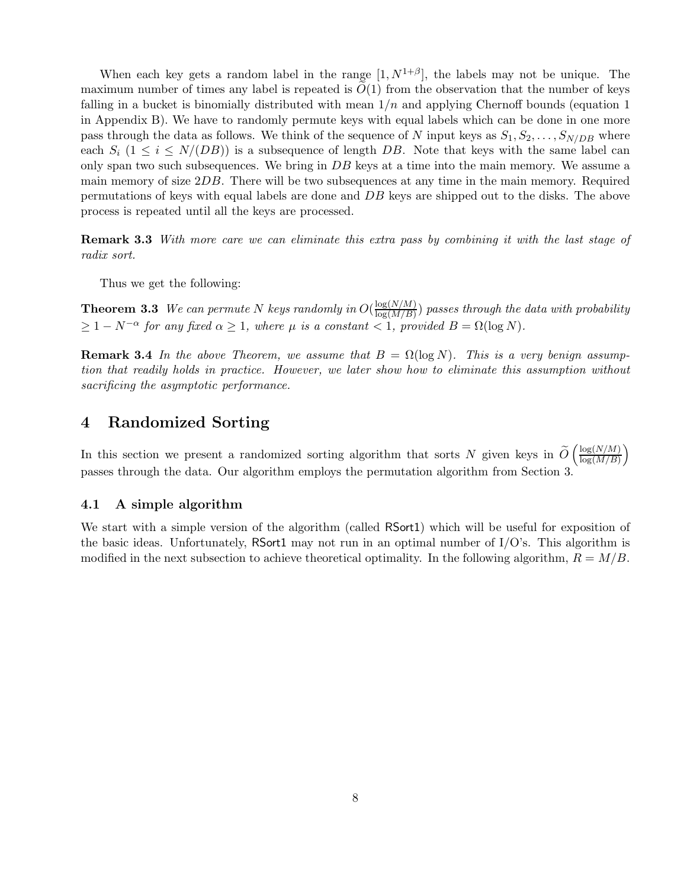When each key gets a random label in the range  $[1, N^{1+\beta}]$ , the labels may not be unique. The maximum number of times any label is repeated is  $O(1)$  from the observation that the number of keys falling in a bucket is binomially distributed with mean  $1/n$  and applying Chernoff bounds (equation 1) in Appendix B). We have to randomly permute keys with equal labels which can be done in one more pass through the data as follows. We think of the sequence of N input keys as  $S_1, S_2, \ldots, S_{N/DB}$  where each  $S_i$  ( $1 \leq i \leq N/(DB)$ ) is a subsequence of length DB. Note that keys with the same label can only span two such subsequences. We bring in DB keys at a time into the main memory. We assume a main memory of size  $2DB$ . There will be two subsequences at any time in the main memory. Required permutations of keys with equal labels are done and DB keys are shipped out to the disks. The above process is repeated until all the keys are processed.

Remark 3.3 With more care we can eliminate this extra pass by combining it with the last stage of radix sort.

Thus we get the following:

**Theorem 3.3** We can permute N keys randomly in  $O(\frac{\log(N/M)}{\log(M/R)})$  $\frac{\log(N/N)}{\log(M/B)}$ ) passes through the data with probability  $\geq 1 - N^{-\alpha}$  for any fixed  $\alpha \geq 1$ , where  $\mu$  is a constant < 1, provided  $B = \Omega(\log N)$ .

**Remark 3.4** In the above Theorem, we assume that  $B = \Omega(\log N)$ . This is a very benign assumption that readily holds in practice. However, we later show how to eliminate this assumption without sacrificing the asymptotic performance.

# 4 Randomized Sorting

In this section we present a randomized sorting algorithm that sorts N given keys in  $\tilde{O} \left( \frac{\log(N/M)}{\log(M/B)} \right)$  $log(M/B)$  $\overline{ }$ passes through the data. Our algorithm employs the permutation algorithm from Section 3.

### 4.1 A simple algorithm

We start with a simple version of the algorithm (called RSort1) which will be useful for exposition of the basic ideas. Unfortunately, RSort1 may not run in an optimal number of  $I/O$ 's. This algorithm is modified in the next subsection to achieve theoretical optimality. In the following algorithm,  $R = M/B$ .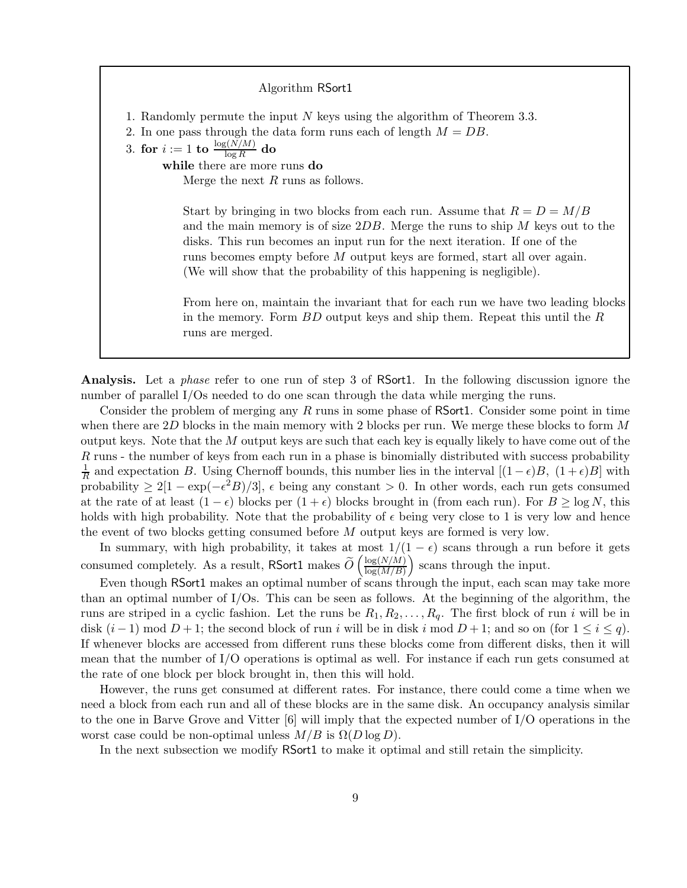Algorithm RSort1 1. Randomly permute the input N keys using the algorithm of Theorem 3.3. 2. In one pass through the data form runs each of length  $M = DB$ .  $3. \,\, \textbf{for} \,\, i := 1 \,\, \textbf{to} \,\, \frac{\log (N/M)}{\log R} \,\, \textbf{do}$ while there are more runs do Merge the next  $R$  runs as follows. Start by bringing in two blocks from each run. Assume that  $R = D = M/B$ and the main memory is of size  $2DB$ . Merge the runs to ship M keys out to the disks. This run becomes an input run for the next iteration. If one of the runs becomes empty before M output keys are formed, start all over again. (We will show that the probability of this happening is negligible). From here on, maintain the invariant that for each run we have two leading blocks in the memory. Form  $BD$  output keys and ship them. Repeat this until the  $R$ 

Analysis. Let a phase refer to one run of step 3 of RSort1. In the following discussion ignore the number of parallel I/Os needed to do one scan through the data while merging the runs.

runs are merged.

Consider the problem of merging any  $R$  runs in some phase of RSort1. Consider some point in time when there are 2D blocks in the main memory with 2 blocks per run. We merge these blocks to form M output keys. Note that the  $M$  output keys are such that each key is equally likely to have come out of the R runs - the number of keys from each run in a phase is binomially distributed with success probability 1  $\frac{1}{R}$  and expectation B. Using Chernoff bounds, this number lies in the interval  $[(1-\epsilon)B, (1+\epsilon)B]$  with probability  $\geq 2[1 - \exp(-\epsilon^2 B)/3]$ ,  $\epsilon$  being any constant  $> 0$ . In other words, each run gets consumed at the rate of at least  $(1 - \epsilon)$  blocks per  $(1 + \epsilon)$  blocks brought in (from each run). For  $B \ge \log N$ , this holds with high probability. Note that the probability of  $\epsilon$  being very close to 1 is very low and hence the event of two blocks getting consumed before M output keys are formed is very low.

In summary, with high probability, it takes at most  $1/(1 - \epsilon)$  scans through a run before it gets consumed completely. As a result, RSort1 makes  $\widetilde{O} \left( \frac{\log(N/M)}{\log(M/B)} \right)$  $log(M/B)$ scans through the input.

Even though RSort1 makes an optimal number of scans through the input, each scan may take more than an optimal number of I/Os. This can be seen as follows. At the beginning of the algorithm, the runs are striped in a cyclic fashion. Let the runs be  $R_1, R_2, \ldots, R_q$ . The first block of run i will be in disk  $(i-1) \mod D+1$ ; the second block of run i will be in disk i mod  $D+1$ ; and so on (for  $1 \leq i \leq q$ ). If whenever blocks are accessed from different runs these blocks come from different disks, then it will mean that the number of I/O operations is optimal as well. For instance if each run gets consumed at the rate of one block per block brought in, then this will hold.

However, the runs get consumed at different rates. For instance, there could come a time when we need a block from each run and all of these blocks are in the same disk. An occupancy analysis similar to the one in Barve Grove and Vitter [6] will imply that the expected number of I/O operations in the worst case could be non-optimal unless  $M/B$  is  $\Omega(D \log D)$ .

In the next subsection we modify RSort1 to make it optimal and still retain the simplicity.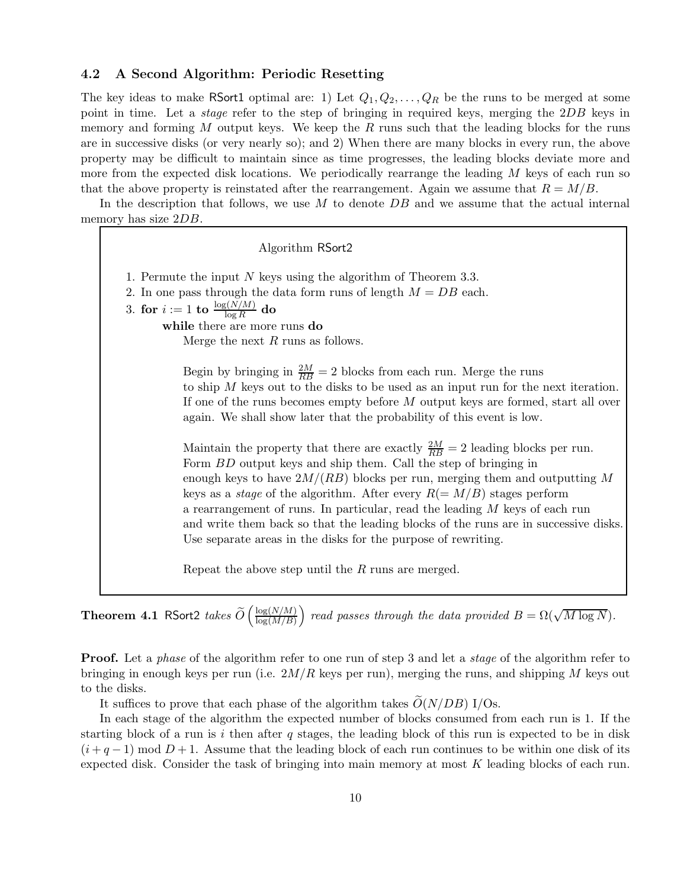### 4.2 A Second Algorithm: Periodic Resetting

The key ideas to make RSort1 optimal are: 1) Let  $Q_1, Q_2, \ldots, Q_R$  be the runs to be merged at some point in time. Let a *stage* refer to the step of bringing in required keys, merging the 2DB keys in memory and forming  $M$  output keys. We keep the  $R$  runs such that the leading blocks for the runs are in successive disks (or very nearly so); and 2) When there are many blocks in every run, the above property may be difficult to maintain since as time progresses, the leading blocks deviate more and more from the expected disk locations. We periodically rearrange the leading M keys of each run so that the above property is reinstated after the rearrangement. Again we assume that  $R = M/B$ .

In the description that follows, we use  $M$  to denote  $DB$  and we assume that the actual internal memory has size 2DB.

Algorithm RSort2 1. Permute the input  $N$  keys using the algorithm of Theorem 3.3. 2. In one pass through the data form runs of length  $M = DB$  each.  $3. \,\, \textbf{for} \,\, i := 1 \,\, \textbf{to} \,\, \frac{\log (N/M)}{\log R} \,\, \textbf{do}$ while there are more runs do Merge the next  $R$  runs as follows. Begin by bringing in  $\frac{2M}{RB} = 2$  blocks from each run. Merge the runs to ship M keys out to the disks to be used as an input run for the next iteration. If one of the runs becomes empty before M output keys are formed, start all over again. We shall show later that the probability of this event is low. Maintain the property that there are exactly  $\frac{2M}{RB} = 2$  leading blocks per run. Form *BD* output keys and ship them. Call the step of bringing in enough keys to have  $2M/(RB)$  blocks per run, merging them and outputting M keys as a *stage* of the algorithm. After every  $R(=M/B)$  stages perform a rearrangement of runs. In particular, read the leading M keys of each run and write them back so that the leading blocks of the runs are in successive disks. Use separate areas in the disks for the purpose of rewriting. Repeat the above step until the R runs are merged.

**Theorem 4.1** RSort2 takes  $\widetilde{O} \left( \frac{\log(N/M)}{\log(M/B)} \right)$  $log(M/B)$ ) read passes through the data provided  $B = \Omega(\sqrt{M \log N})$ .

**Proof.** Let a *phase* of the algorithm refer to one run of step 3 and let a *stage* of the algorithm refer to bringing in enough keys per run (i.e.  $2M/R$  keys per run), merging the runs, and shipping M keys out to the disks.

It suffices to prove that each phase of the algorithm takes  $O(N/DB)$  I/Os.

In each stage of the algorithm the expected number of blocks consumed from each run is 1. If the starting block of a run is  $i$  then after  $q$  stages, the leading block of this run is expected to be in disk  $(i+q-1) \mod D+1$ . Assume that the leading block of each run continues to be within one disk of its expected disk. Consider the task of bringing into main memory at most K leading blocks of each run.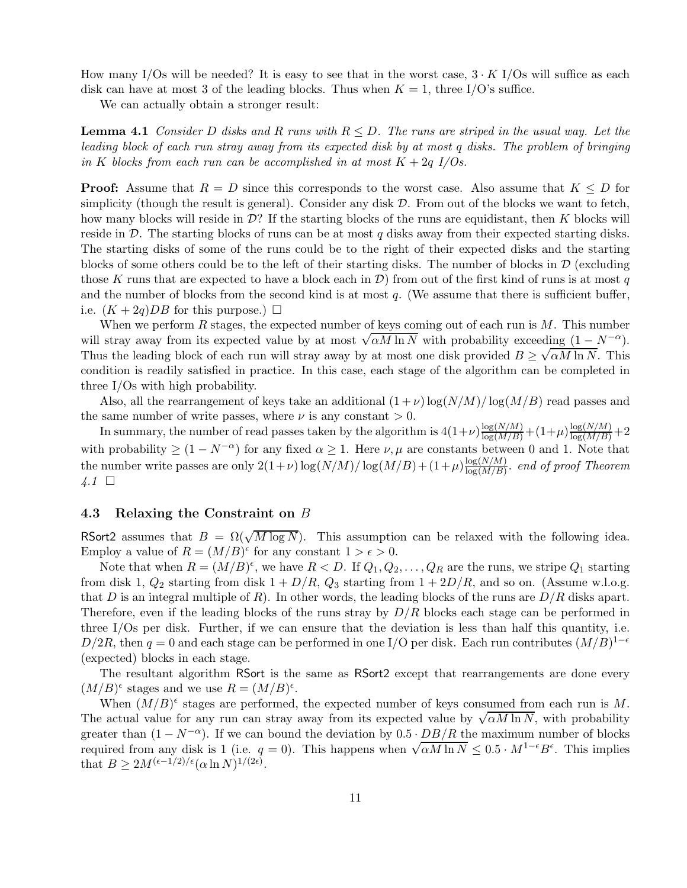How many I/Os will be needed? It is easy to see that in the worst case,  $3 \cdot K$  I/Os will suffice as each disk can have at most 3 of the leading blocks. Thus when  $K = 1$ , three I/O's suffice.

We can actually obtain a stronger result:

**Lemma 4.1** Consider D disks and R runs with  $R \leq D$ . The runs are striped in the usual way. Let the leading block of each run stray away from its expected disk by at most q disks. The problem of bringing in K blocks from each run can be accomplished in at most  $K + 2q$  I/Os.

**Proof:** Assume that  $R = D$  since this corresponds to the worst case. Also assume that  $K \leq D$  for simplicity (though the result is general). Consider any disk  $D$ . From out of the blocks we want to fetch, how many blocks will reside in  $\mathcal{D}$ ? If the starting blocks of the runs are equidistant, then K blocks will reside in  $\mathcal{D}$ . The starting blocks of runs can be at most q disks away from their expected starting disks. The starting disks of some of the runs could be to the right of their expected disks and the starting blocks of some others could be to the left of their starting disks. The number of blocks in  $\mathcal D$  (excluding those K runs that are expected to have a block each in  $\mathcal{D}$ ) from out of the first kind of runs is at most q and the number of blocks from the second kind is at most q. (We assume that there is sufficient buffer, i.e.  $(K+2q)DB$  for this purpose.)  $\square$ 

When we perform  $R$  stages, the expected number of keys coming out of each run is  $M$ . This number will stray away from its expected value by at most  $\sqrt{\alpha M \ln N}$  with probability exceeding  $(1 - N^{-\alpha})$ . Thus the leading block of each run will stray away by at most one disk provided  $B \ge \sqrt{\alpha M \ln N}$ . This condition is readily satisfied in practice. In this case, each stage of the algorithm can be completed in three I/Os with high probability.

Also, all the rearrangement of keys take an additional  $(1+\nu)$  log( $N/M$ )/ log( $M/B$ ) read passes and the same number of write passes, where  $\nu$  is any constant  $> 0$ .

In summary, the number of read passes taken by the algorithm is  $4(1+\nu)\frac{\log(N/M)}{\log(M/B)}+(1+\mu)\frac{\log(N/M)}{\log(M/B)}+2$ with probability  $\geq (1 - N^{-\alpha})$  for any fixed  $\alpha \geq 1$ . Here  $\nu, \mu$  are constants between 0 and 1. Note that the number write passes are only  $2(1+\nu)\log(N/M)/\log(M/B)+(1+\mu)\frac{\log(N/M)}{\log(M/R)}$  $\frac{\log(N/N)}{\log(M/B)}$ . end of proof Theorem  $\downarrow$ .1  $\Box$ 

#### 4.3 Relaxing the Constraint on B

RSort2 assumes that  $B = \Omega(\sqrt{M \log N})$ . This assumption can be relaxed with the following idea. Employ a value of  $R = (M/B)^{\epsilon}$  for any constant  $1 > \epsilon > 0$ .

Note that when  $R = (M/B)^{\epsilon}$ , we have  $R < D$ . If  $Q_1, Q_2, \ldots, Q_R$  are the runs, we stripe  $Q_1$  starting from disk 1,  $Q_2$  starting from disk  $1 + D/R$ ,  $Q_3$  starting from  $1 + 2D/R$ , and so on. (Assume w.l.o.g. that D is an integral multiple of R). In other words, the leading blocks of the runs are  $D/R$  disks apart. Therefore, even if the leading blocks of the runs stray by  $D/R$  blocks each stage can be performed in three I/Os per disk. Further, if we can ensure that the deviation is less than half this quantity, i.e. D/2R, then  $q = 0$  and each stage can be performed in one I/O per disk. Each run contributes  $(M/B)^{1-\epsilon}$ (expected) blocks in each stage.

The resultant algorithm RSort is the same as RSort2 except that rearrangements are done every  $(M/B)^{\epsilon}$  stages and we use  $R = (M/B)^{\epsilon}$ .

When  $(M/B)^{\epsilon}$  stages are performed, the expected number of keys consumed from each run is M. The actual value for any run can stray away from its expected value by  $\sqrt{\alpha M \ln N}$ , with probability greater than  $(1 - N^{-\alpha})$ . If we can bound the deviation by  $0.5 \cdot DB/R$  the maximum number of blocks required from any disk is 1 (i.e.  $q = 0$ ). This happens when  $\sqrt{\alpha M \ln N} \leq 0.5 \cdot M^{1-\epsilon} B^{\epsilon}$ . This implies that  $B \geq 2M^{(\epsilon-1/2)/\epsilon} (\alpha \ln N)^{1/(2\epsilon)}$ .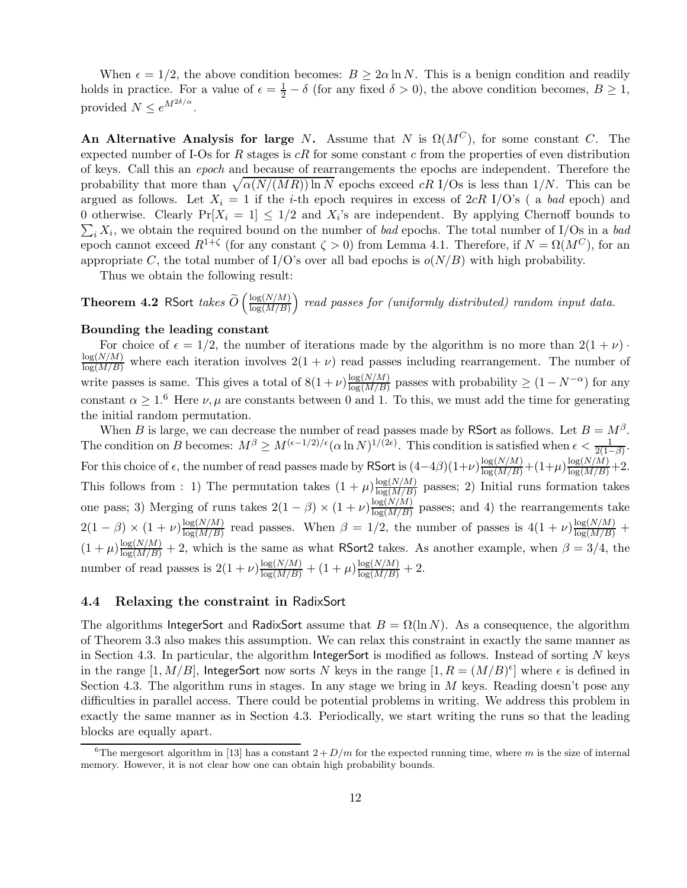When  $\epsilon = 1/2$ , the above condition becomes:  $B \geq 2\alpha \ln N$ . This is a benign condition and readily holds in practice. For a value of  $\epsilon = \frac{1}{2} - \delta$  (for any fixed  $\delta > 0$ ), the above condition becomes,  $B \ge 1$ , provided  $N \leq e^{M^{2\delta/\alpha}}$ .

An Alternative Analysis for large N. Assume that N is  $\Omega(M^C)$ , for some constant C. The expected number of I-Os for R stages is  $cR$  for some constant c from the properties of even distribution of keys. Call this an epoch and because of rearrangements the epochs are independent. Therefore the probability that more than  $\sqrt{\alpha(N/(MR)) \ln N}$  epochs exceed cR I/Os is less than 1/N. This can be argued as follows. Let  $X_i = 1$  if the *i*-th epoch requires in excess of 2cR I/O's (a bad epoch) and 0 otherwise. Clearly  $Pr[X_i = 1] \leq 1/2$  and  $X_i$ 's are independent. By applying Chernoff bounds to  $\sum_i X_i$ , we obtain the required bound on the number of bad epochs. The total number of I/Os in a bad epoch cannot exceed  $R^{1+\zeta}$  (for any constant  $\zeta > 0$ ) from Lemma 4.1. Therefore, if  $N = \Omega(M^C)$ , for an appropriate C, the total number of I/O's over all bad epochs is  $o(N/B)$  with high probability.

Thus we obtain the following result:

**Theorem 4.2** RSort takes  $\widetilde{O} \left( \frac{\log(N/M)}{\log(M/B)} \right)$  $log(M/B)$  $\big)$  read passes for (uniformly distributed) random input data.

#### Bounding the leading constant

For choice of  $\epsilon = 1/2$ , the number of iterations made by the algorithm is no more than  $2(1 + \nu)$ .  $\frac{\log(N/M)}{\log(M/B)}$  where each iteration involves  $2(1 + \nu)$  read passes including rearrangement. The number of write passes is same. This gives a total of  $8(1+\nu)\frac{\log(N/M)}{\log(M/R)}$  $\frac{\log(N/M)}{\log(M/B)}$  passes with probability  $\geq (1 - N^{-\alpha})$  for any constant  $\alpha \geq 1.6$  Here  $\nu, \mu$  are constants between 0 and 1. To this, we must add the time for generating the initial random permutation.

When B is large, we can decrease the number of read passes made by RSort as follows. Let  $B = M^{\beta}$ . The condition on B becomes:  $M^{\beta} \ge M^{(\epsilon-1/2)/\epsilon} (\alpha \ln N)^{1/(2\epsilon)}$ . This condition is satisfied when  $\epsilon < \frac{1}{2(1-\beta)}$ . For this choice of  $\epsilon$ , the number of read passes made by RSort is  $(4-4\beta)(1+\nu)\frac{\log(N/M)}{\log(M/B)}+(1+\mu)\frac{\log(N/M)}{\log(M/B)}+2$ . This follows from : 1) The permutation takes  $(1 + \mu)^{\frac{\log(N/M)}{\log(M/R)}}$  $\frac{\log(N/N)}{\log(M/B)}$  passes; 2) Initial runs formation takes one pass; 3) Merging of runs takes  $2(1 - \beta) \times (1 + \nu) \frac{\log(N/M)}{\log(M/B)}$  $\frac{\log(N/M)}{\log(M/B)}$  passes; and 4) the rearrangements take  $2(1 - \beta) \times (1 + \nu) \frac{\log(N/M)}{\log(M/B)}$  $\frac{\log(N/M)}{\log(M/B)}$  read passes. When  $\beta = 1/2$ , the number of passes is  $4(1+\nu)\frac{\log(N/M)}{\log(M/B)}$  +  $(1+\mu)\frac{\log(N/M)}{\log(M/B)}+2$ , which is the same as what RSort2 takes. As another example, when  $\beta=3/4$ , the number of read passes is  $2(1+\nu)\frac{\log(N/M)}{\log(M/B)} + (1+\mu)\frac{\log(N/M)}{\log(M/B)} + 2$ .

#### 4.4 Relaxing the constraint in RadixSort

The algorithms IntegerSort and RadixSort assume that  $B = \Omega(\ln N)$ . As a consequence, the algorithm of Theorem 3.3 also makes this assumption. We can relax this constraint in exactly the same manner as in Section 4.3. In particular, the algorithm IntegerSort is modified as follows. Instead of sorting  $N$  keys in the range  $[1, M/B]$ , IntegerSort now sorts N keys in the range  $[1, R = (M/B)^{\epsilon}]$  where  $\epsilon$  is defined in Section 4.3. The algorithm runs in stages. In any stage we bring in  $M$  keys. Reading doesn't pose any difficulties in parallel access. There could be potential problems in writing. We address this problem in exactly the same manner as in Section 4.3. Periodically, we start writing the runs so that the leading blocks are equally apart.

<sup>&</sup>lt;sup>6</sup>The mergesort algorithm in [13] has a constant  $2 + D/m$  for the expected running time, where m is the size of internal memory. However, it is not clear how one can obtain high probability bounds.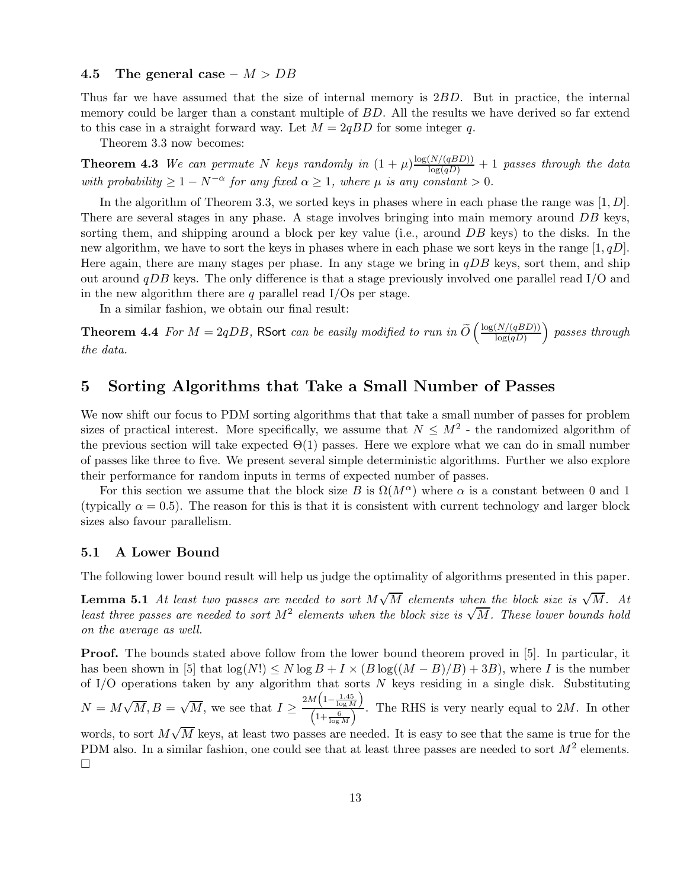#### 4.5 The general case  $- M > DB$

Thus far we have assumed that the size of internal memory is 2BD. But in practice, the internal memory could be larger than a constant multiple of BD. All the results we have derived so far extend to this case in a straight forward way. Let  $M = 2qBD$  for some integer q.

Theorem 3.3 now becomes:

**Theorem 4.3** We can permute N keys randomly in  $(1 + \mu) \frac{\log(N/(qBD))}{\log(qD)} + 1$  passes through the data with probability  $\geq 1 - N^{-\alpha}$  for any fixed  $\alpha \geq 1$ , where  $\mu$  is any constant  $> 0$ .

In the algorithm of Theorem 3.3, we sorted keys in phases where in each phase the range was  $[1, D]$ . There are several stages in any phase. A stage involves bringing into main memory around DB keys, sorting them, and shipping around a block per key value (i.e., around DB keys) to the disks. In the new algorithm, we have to sort the keys in phases where in each phase we sort keys in the range  $[1, qD]$ . Here again, there are many stages per phase. In any stage we bring in  $qDB$  keys, sort them, and ship out around  $qDB$  keys. The only difference is that a stage previously involved one parallel read  $I/O$  and in the new algorithm there are q parallel read  $I/Os$  per stage.

In a similar fashion, we obtain our final result:

**Theorem 4.4** For  $M = 2qDB$ , RSort can be easily modified to run in  $\widetilde{O} \left( \frac{\log(N/(qBD))}{\log(qD)} \right)$  $log(qD)$  passes through the data.

# 5 Sorting Algorithms that Take a Small Number of Passes

We now shift our focus to PDM sorting algorithms that that take a small number of passes for problem sizes of practical interest. More specifically, we assume that  $N \leq M^2$  - the randomized algorithm of the previous section will take expected  $\Theta(1)$  passes. Here we explore what we can do in small number of passes like three to five. We present several simple deterministic algorithms. Further we also explore their performance for random inputs in terms of expected number of passes.

For this section we assume that the block size B is  $\Omega(M^{\alpha})$  where  $\alpha$  is a constant between 0 and 1 (typically  $\alpha = 0.5$ ). The reason for this is that it is consistent with current technology and larger block sizes also favour parallelism.

#### 5.1 A Lower Bound

The following lower bound result will help us judge the optimality of algorithms presented in this paper.

**Lemma 5.1** At least two passes are needed to sort  $M\sqrt{M}$  elements when the block size is  $\sqrt{M}$ . At Least three passes are needed to sort  $M^2$  elements when the block size is  $\sqrt{M}$ . These lower bounds hold on the average as well.

Proof. The bounds stated above follow from the lower bound theorem proved in [5]. In particular, it has been shown in [5] that  $\log(N!) \leq N \log B + I \times (B \log((M - B)/B) + 3B)$ , where I is the number of  $I/O$  operations taken by any algorithm that sorts  $N$  keys residing in a single disk. Substituting  $N = M\sqrt{M}, B = \sqrt{M}$ , we see that  $I \geq \frac{2M\left(1-\frac{1.45}{\log M}\right)}{\left(1+\frac{6}{\log M}\right)}$  $\frac{(\log M)^2}{(1+\frac{6}{\log M})^2}$ . The RHS is very nearly equal to 2*M*. In other

words, to sort  $M\sqrt{M}$  keys, at least two passes are needed. It is easy to see that the same is true for the PDM also. In a similar fashion, one could see that at least three passes are needed to sort  $M^2$  elements.  $\Box$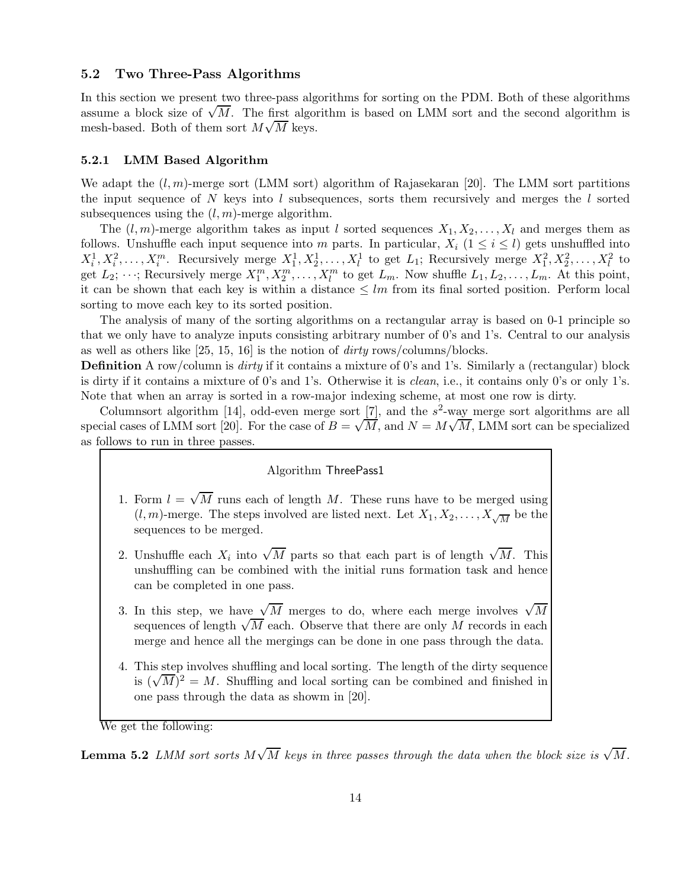#### 5.2 Two Three-Pass Algorithms

In this section we present two three-pass algorithms for sorting on the PDM. Both of these algorithms assume a block size of  $\sqrt{M}$ . The first algorithm is based on LMM sort and the second algorithm is mesh-based. Both of them sort  $M\sqrt{M}$  keys.

#### 5.2.1 LMM Based Algorithm

We adapt the  $(l, m)$ -merge sort (LMM sort) algorithm of Rajasekaran [20]. The LMM sort partitions the input sequence of  $N$  keys into  $l$  subsequences, sorts them recursively and merges the  $l$  sorted subsequences using the  $(l, m)$ -merge algorithm.

The  $(l, m)$ -merge algorithm takes as input l sorted sequences  $X_1, X_2, \ldots, X_l$  and merges them as follows. Unshuffle each input sequence into m parts. In particular,  $X_i$  ( $1 \leq i \leq l$ ) gets unshuffled into  $X_i^1, X_i^2, \ldots, X_i^m$ . Recursively merge  $X_1^1, X_2^1, \ldots, X_l^1$  to get  $L_1$ ; Recursively merge  $X_1^2, X_2^2, \ldots, X_l^2$  to get  $L_2$ ;  $\cdots$ ; Recursively merge  $X_1^m, X_2^m, \ldots, X_l^m$  to get  $L_m$ . Now shuffle  $L_1, L_2, \ldots, L_m$ . At this point, it can be shown that each key is within a distance  $\leq lm$  from its final sorted position. Perform local sorting to move each key to its sorted position.

The analysis of many of the sorting algorithms on a rectangular array is based on 0-1 principle so that we only have to analyze inputs consisting arbitrary number of 0's and 1's. Central to our analysis as well as others like [25, 15, 16] is the notion of dirty rows/columns/blocks.

**Definition** A row/column is dirty if it contains a mixture of 0's and 1's. Similarly a (rectangular) block is dirty if it contains a mixture of 0's and 1's. Otherwise it is clean, i.e., it contains only 0's or only 1's. Note that when an array is sorted in a row-major indexing scheme, at most one row is dirty.

Columnsort algorithm [14], odd-even merge sort [7], and the  $s^2$ -way merge sort algorithms are all special cases of LMM sort [20]. For the case of  $B = \sqrt{M}$ , and  $N = M\sqrt{M}$ , LMM sort can be specialized as follows to run in three passes.

#### Algorithm ThreePass1

- 1. Form  $l = \sqrt{M}$  runs each of length M. These runs have to be merged using  $(l, m)$ -merge. The steps involved are listed next. Let  $X_1, X_2, \ldots, X_{\sqrt{M}}$  be the sequences to be merged.
- 2. Unshuffle each  $X_i$  into  $\sqrt{M}$  parts so that each part is of length  $\sqrt{M}$ . This unshuffling can be combined with the initial runs formation task and hence can be completed in one pass.
- 3. In this step, we have  $\sqrt{M}$  merges to do, where each merge involves  $\sqrt{M}$ sequences of length  $\sqrt{M}$  each. Observe that there are only M records in each merge and hence all the mergings can be done in one pass through the data.
- 4. This step involves shuffling and local sorting. The length of the dirty sequence is  $(\sqrt{M})^2 = M$ . Shuffling and local sorting can be combined and finished in one pass through the data as showm in [20].

We get the following:

**Lemma 5.2** LMM sort sorts  $M\sqrt{M}$  keys in three passes through the data when the block size is  $\sqrt{M}$ .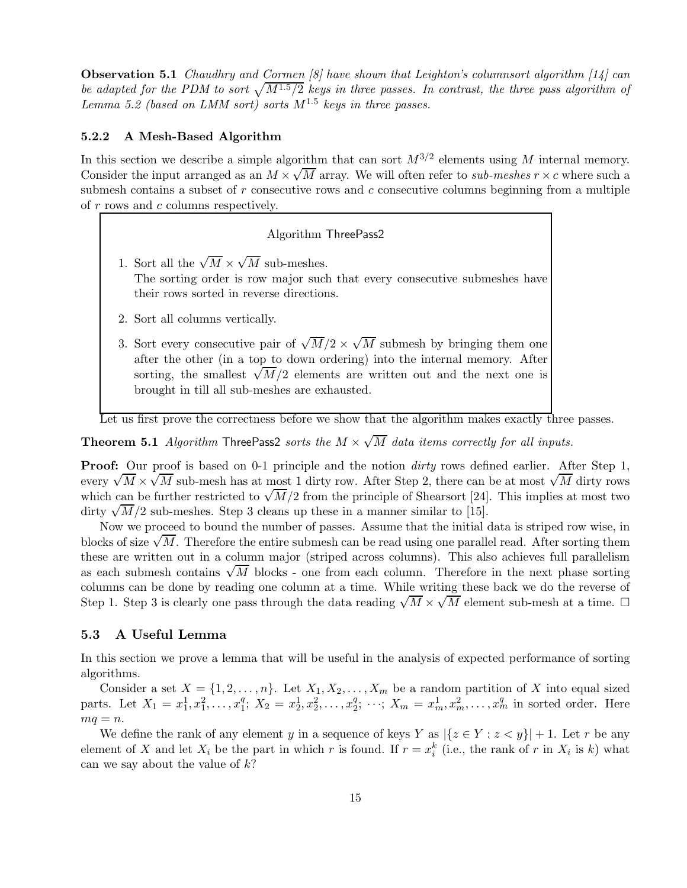Observation 5.1 Chaudhry and Cormen [8] have shown that Leighton's columnsort algorithm [14] can be adapted for the PDM to sort  $\sqrt{M^{1.5}/2}$  keys in three passes. In contrast, the three pass algorithm of Lemma 5.2 (based on LMM sort) sorts  $M^{1.5}$  keys in three passes.

### 5.2.2 A Mesh-Based Algorithm

In this section we describe a simple algorithm that can sort  $M^{3/2}$  elements using M internal memory. Consider the input arranged as an  $M \times \sqrt{M}$  array. We will often refer to *sub-meshes*  $r \times c$  where such a submesh contains a subset of  $r$  consecutive rows and  $c$  consecutive columns beginning from a multiple of r rows and c columns respectively.

### Algorithm ThreePass2

- 1. Sort all the  $\sqrt{M} \times \sqrt{M}$  sub-meshes. The sorting order is row major such that every consecutive submeshes have their rows sorted in reverse directions.
- 2. Sort all columns vertically.
- 3. Sort every consecutive pair of  $\sqrt{M}/2 \times \sqrt{M}$  submesh by bringing them one after the other (in a top to down ordering) into the internal memory. After sorting, the smallest  $\sqrt{M}/2$  elements are written out and the next one is brought in till all sub-meshes are exhausted.

Let us first prove the correctness before we show that the algorithm makes exactly three passes.

**Theorem 5.1** Algorithm ThreePass2 sorts the  $M \times \sqrt{M}$  data items correctly for all inputs.

**Proof:** Our proof is based on 0-1 principle and the notion *dirty* rows defined earlier. After Step 1, every  $\sqrt{M} \times \sqrt{M}$  sub-mesh has at most 1 dirty row. After Step 2, there can be at most  $\sqrt{M}$  dirty rows which can be further restricted to  $\sqrt{M}/2$  from the principle of Shearsort [24]. This implies at most two dirty  $\sqrt{M}/2$  sub-meshes. Step 3 cleans up these in a manner similar to [15].

Now we proceed to bound the number of passes. Assume that the initial data is striped row wise, in blocks of size  $\sqrt{M}$ . Therefore the entire submesh can be read using one parallel read. After sorting them these are written out in a column major (striped across columns). This also achieves full parallelism as each submesh contains  $\sqrt{M}$  blocks - one from each column. Therefore in the next phase sorting columns can be done by reading one column at a time. While writing these back we do the reverse of Step 1. Step 3 is clearly one pass through the data reading  $\sqrt{M} \times \sqrt{M}$  element sub-mesh at a time.  $\square$ 

## 5.3 A Useful Lemma

In this section we prove a lemma that will be useful in the analysis of expected performance of sorting algorithms.

Consider a set  $X = \{1, 2, ..., n\}$ . Let  $X_1, X_2, ..., X_m$  be a random partition of X into equal sized parts. Let  $X_1 = x_1^1, x_1^2, \ldots, x_1^q$  $x_1^q$ ;  $X_2 = x_2^1, x_2^2, \ldots, x_2^q$  $x_2^q$ ;  $\cdots$ ;  $X_m = x_m^1, x_m^2, \ldots, x_m^q$  in sorted order. Here  $mq = n$ .

We define the rank of any element y in a sequence of keys Y as  $|\{z \in Y : z < y\}| + 1$ . Let r be any element of X and let  $X_i$  be the part in which r is found. If  $r = x_i^k$  (i.e., the rank of r in  $X_i$  is k) what can we say about the value of  $k$ ?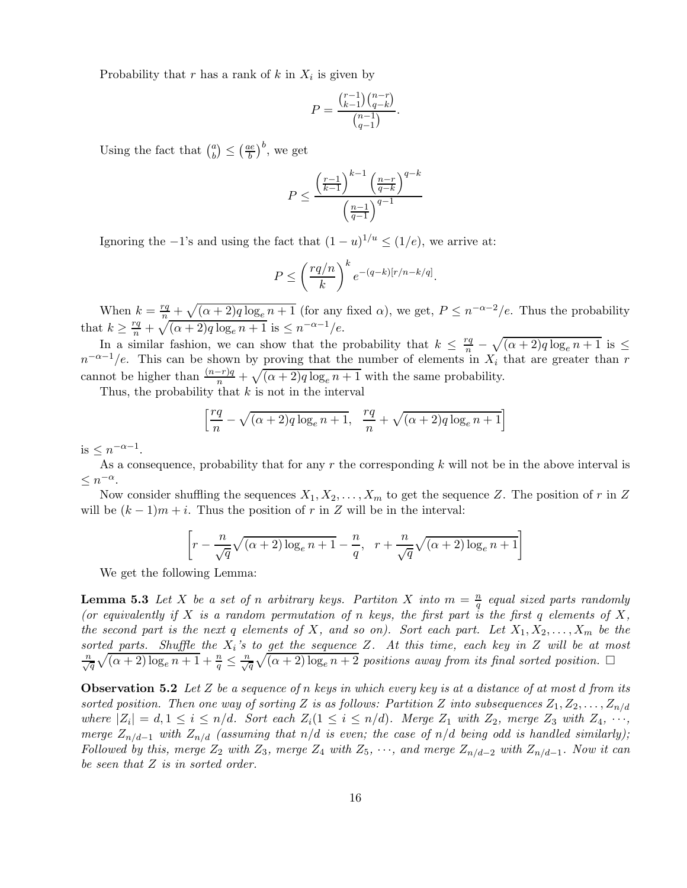Probability that r has a rank of  $k$  in  $X_i$  is given by

$$
P = \frac{\binom{r-1}{k-1}\binom{n-r}{q-k}}{\binom{n-1}{q-1}}.
$$

Using the fact that  $\binom{a}{b}$  $\binom{a}{b} \leq \left(\frac{ae}{b}\right)$  $\left(\frac{be}{b}\right)^b$ , we get

$$
P \le \frac{\left(\frac{r-1}{k-1}\right)^{k-1} \left(\frac{n-r}{q-k}\right)^{q-k}}{\left(\frac{n-1}{q-1}\right)^{q-1}}
$$

Ignoring the  $-1$ 's and using the fact that  $(1-u)^{1/u} \le (1/e)$ , we arrive at:

$$
P \le \left(\frac{rq/n}{k}\right)^k e^{-(q-k)[r/n - k/q]}.
$$

When  $k = \frac{rq}{n} + \sqrt{(\alpha + 2)q \log_e n + 1}$  (for any fixed  $\alpha$ ), we get,  $P \leq n^{-\alpha-2}/e$ . Thus the probability that  $k \geq \frac{rq}{n} + \sqrt{(\alpha + 2)q \log_e n + 1}$  is  $\leq n^{-\alpha - 1}/e$ .

In a similar fashion, we can show that the probability that  $k \leq \frac{rq}{n} - \sqrt{(\alpha + 2)q \log_e n + 1}$  is  $\leq$  $n^{-\alpha-1}/e$ . This can be shown by proving that the number of elements in  $X_i$  that are greater than r cannot be higher than  $\frac{(n-r)q}{n} + \sqrt{(\alpha+2)q \log_e n + 1}$  with the same probability.

Thus, the probability that  $k$  is not in the interval

$$
\left[\frac{rq}{n} - \sqrt{(\alpha+2)q \log_e n + 1}, \frac{rq}{n} + \sqrt{(\alpha+2)q \log_e n + 1}\right]
$$

is  $\leq n^{-\alpha-1}$ .

As a consequence, probability that for any r the corresponding  $k$  will not be in the above interval is  $\leq n^{-\alpha}$ .

Now consider shuffling the sequences  $X_1, X_2, \ldots, X_m$  to get the sequence Z. The position of r in Z will be  $(k-1)m+i$ . Thus the position of r in Z will be in the interval:

$$
\left[r - \frac{n}{\sqrt{q}}\sqrt{(\alpha+2)\log_e n + 1} - \frac{n}{q}, \quad r + \frac{n}{\sqrt{q}}\sqrt{(\alpha+2)\log_e n + 1}\right]
$$

We get the following Lemma:

**Lemma 5.3** Let X be a set of n arbitrary keys. Partiton X into  $m = \frac{n}{a}$  $\frac{n}{q}$  equal sized parts randomly (or equivalently if X is a random permutation of n keys, the first part is the first q elements of X, the second part is the next q elements of X, and so on). Sort each part. Let  $X_1, X_2, \ldots, X_m$  be the sorted parts. Shuffle the  $X_i$ 's to get the sequence Z. At this time, each key in Z will be at most  $\frac{n}{\sqrt{q}}\sqrt{(\alpha+2)\log_e n+1}+\frac{n}{q}\leq \frac{n}{\sqrt{q}}\sqrt{(\alpha+2)\log_e n+2}$  positions away from its final sorted position.  $\Box$ 

**Observation 5.2** Let Z be a sequence of n keys in which every key is at a distance of at most d from its sorted position. Then one way of sorting Z is as follows: Partition Z into subsequences  $Z_1, Z_2, \ldots, Z_{n/d}$ where  $|Z_i| = d, 1 \leq i \leq n/d$ . Sort each  $Z_i(1 \leq i \leq n/d)$ . Merge  $Z_1$  with  $Z_2$ , merge  $Z_3$  with  $Z_4, \dots,$ merge  $Z_{n/d-1}$  with  $Z_{n/d}$  (assuming that  $n/d$  is even; the case of  $n/d$  being odd is handled similarly); Followed by this, merge  $Z_2$  with  $Z_3$ , merge  $Z_4$  with  $Z_5$ ,  $\cdots$ , and merge  $Z_{n/d-2}$  with  $Z_{n/d-1}$ . Now it can be seen that Z is in sorted order.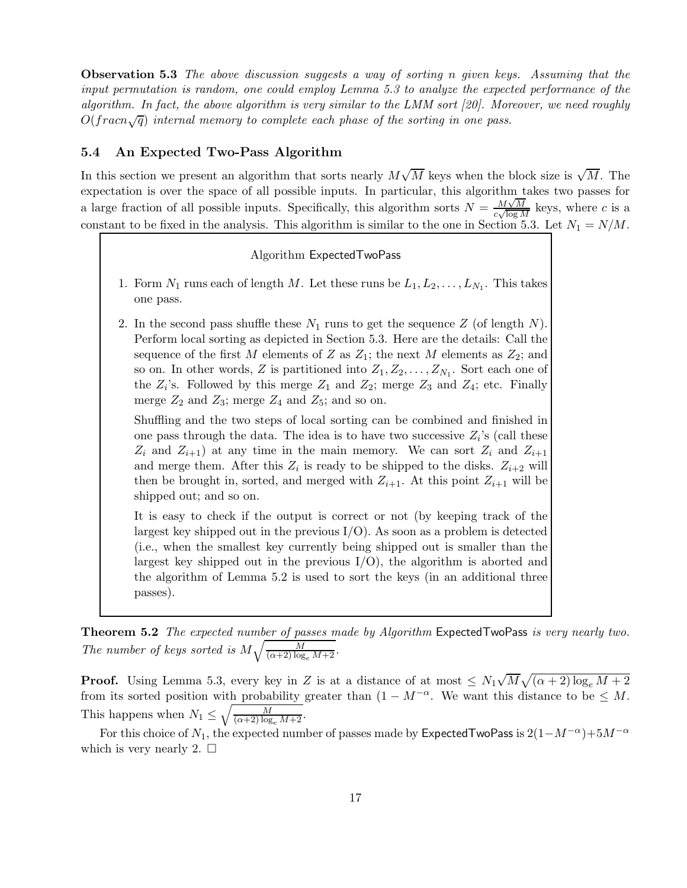**Observation 5.3** The above discussion suggests a way of sorting n given keys. Assuming that the input permutation is random, one could employ Lemma 5.3 to analyze the expected performance of the algorithm. In fact, the above algorithm is very similar to the LMM sort [20]. Moreover, we need roughly  $O(fraen\sqrt{q})$  internal memory to complete each phase of the sorting in one pass.

#### 5.4 An Expected Two-Pass Algorithm

In this section we present an algorithm that sorts nearly  $M\sqrt{M}$  keys when the block size is  $\sqrt{M}$ . The expectation is over the space of all possible inputs. In particular, this algorithm takes two passes for a large fraction of all possible inputs. Specifically, this algorithm sorts  $N = \frac{M\sqrt{M}}{a\sqrt{\log M}}$  $\frac{M\sqrt{M}}{c\sqrt{\log M}}$  keys, where c is a constant to be fixed in the analysis. This algorithm is similar to the one in Section 5.3. Let  $N_1 = N/M$ .

### Algorithm ExpectedTwoPass

- 1. Form  $N_1$  runs each of length M. Let these runs be  $L_1, L_2, \ldots, L_{N_1}$ . This takes one pass.
- 2. In the second pass shuffle these  $N_1$  runs to get the sequence Z (of length N). Perform local sorting as depicted in Section 5.3. Here are the details: Call the sequence of the first M elements of Z as  $Z_1$ ; the next M elements as  $Z_2$ ; and so on. In other words, Z is partitioned into  $Z_1, Z_2, \ldots, Z_{N_1}$ . Sort each one of the  $Z_i$ 's. Followed by this merge  $Z_1$  and  $Z_2$ ; merge  $Z_3$  and  $Z_4$ ; etc. Finally merge  $Z_2$  and  $Z_3$ ; merge  $Z_4$  and  $Z_5$ ; and so on.

Shuffling and the two steps of local sorting can be combined and finished in one pass through the data. The idea is to have two successive  $Z_i$ 's (call these  $Z_i$  and  $Z_{i+1}$ ) at any time in the main memory. We can sort  $Z_i$  and  $Z_{i+1}$ and merge them. After this  $Z_i$  is ready to be shipped to the disks.  $Z_{i+2}$  will then be brought in, sorted, and merged with  $Z_{i+1}$ . At this point  $Z_{i+1}$  will be shipped out; and so on.

It is easy to check if the output is correct or not (by keeping track of the largest key shipped out in the previous  $I/O$ ). As soon as a problem is detected (i.e., when the smallest key currently being shipped out is smaller than the largest key shipped out in the previous  $I/O$ , the algorithm is aborted and the algorithm of Lemma 5.2 is used to sort the keys (in an additional three passes).

Theorem 5.2 The expected number of passes made by Algorithm ExpectedTwoPass is very nearly two. The number of keys sorted is  $M\sqrt{\frac{M}{(\alpha+2)\log_e M+2}}$ .

**Proof.** Using Lemma 5.3, every key in Z is at a distance of at most  $\leq N_1\sqrt{M}\sqrt{(\alpha+2)\log_e M+2}$ from its sorted position with probability greater than  $(1 - M^{-\alpha})$ . We want this distance to be  $\leq M$ . This happens when  $N_1 \leq \sqrt{\frac{M}{(\alpha+2)\log_e M+2}}$ .

For this choice of  $N_1$ , the expected number of passes made by ExpectedTwoPass is  $2(1-M^{-\alpha})+5M^{-\alpha}$ which is very nearly 2.  $\square$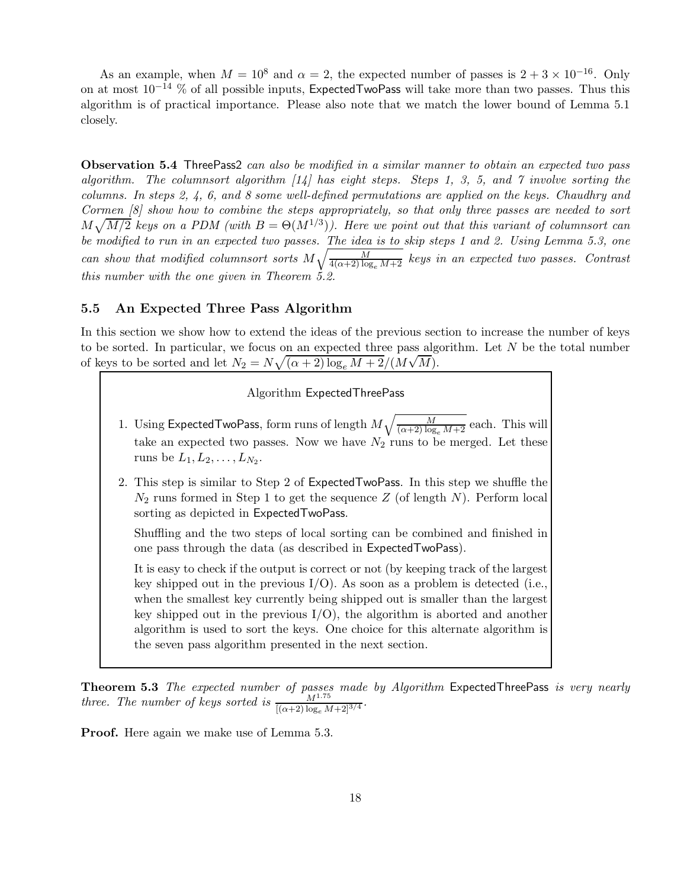As an example, when  $M = 10^8$  and  $\alpha = 2$ , the expected number of passes is  $2 + 3 \times 10^{-16}$ . Only on at most  $10^{-14}$  % of all possible inputs, ExpectedTwoPass will take more than two passes. Thus this algorithm is of practical importance. Please also note that we match the lower bound of Lemma 5.1 closely.

Observation 5.4 ThreePass2 can also be modified in a similar manner to obtain an expected two pass algorithm. The columns ort algorithm  $\lfloor 14 \rfloor$  has eight steps. Steps 1, 3, 5, and 7 involve sorting the columns. In steps 2, 4, 6, and 8 some well-defined permutations are applied on the keys. Chaudhry and Cormen [8] show how to combine the steps appropriately, so that only three passes are needed to sort  $M\sqrt{M/2}$  keys on a PDM (with  $B = \Theta(M^{1/3})$ ). Here we point out that this variant of columnsort can be modified to run in an expected two passes. The idea is to skip steps 1 and 2. Using Lemma 5.3, one can show that modified columnsort sorts  $M\sqrt{\frac{M}{4(\alpha+2)\log_e M+2}}$  keys in an expected two passes. Contrast this number with the one given in Theorem 5.2.

### 5.5 An Expected Three Pass Algorithm

In this section we show how to extend the ideas of the previous section to increase the number of keys to be sorted. In particular, we focus on an expected three pass algorithm. Let  $N$  be the total number of keys to be sorted and let  $N_2 = N \sqrt{(\alpha + 2) \log_e M + 2} / (M \sqrt{M}).$ 

#### Algorithm ExpectedThreePass

- 1. Using Expected Two Pass, form runs of length  $M\sqrt{\frac{M}{(\alpha+2)\log_e{M}+2}}$  each. This will take an expected two passes. Now we have  $N_2$  runs to be merged. Let these runs be  $L_1, L_2, \ldots, L_{N_2}$ .
- 2. This step is similar to Step 2 of ExpectedTwoPass. In this step we shuffle the  $N_2$  runs formed in Step 1 to get the sequence Z (of length N). Perform local sorting as depicted in ExpectedTwoPass.

Shuffling and the two steps of local sorting can be combined and finished in one pass through the data (as described in ExpectedTwoPass).

It is easy to check if the output is correct or not (by keeping track of the largest key shipped out in the previous  $I/O$ ). As soon as a problem is detected (i.e., when the smallest key currently being shipped out is smaller than the largest key shipped out in the previous  $I/O$ , the algorithm is aborted and another algorithm is used to sort the keys. One choice for this alternate algorithm is the seven pass algorithm presented in the next section.

Theorem 5.3 The expected number of passes made by Algorithm ExpectedThreePass is very nearly three. The number of keys sorted is  $\frac{M^{1.75}}{[(\alpha+2)\log_e M+2]^{3/4}}$ .

Proof. Here again we make use of Lemma 5.3.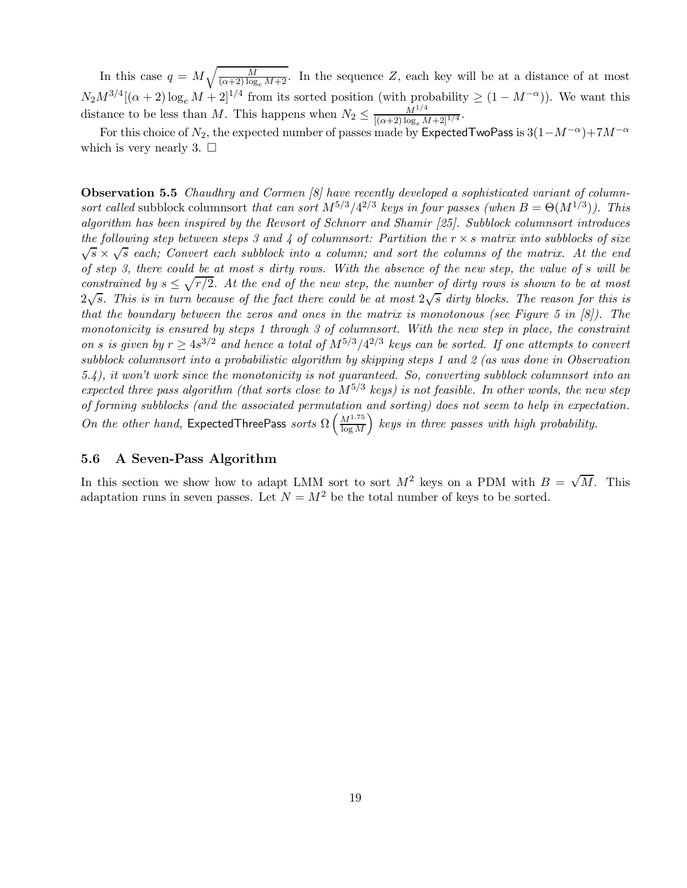In this case  $q = M \sqrt{\frac{M}{(\alpha+2) \log_e M + 2}}$ . In the sequence Z, each key will be at a distance of at most  $N_2M^{3/4}[(\alpha+2)\log_e M + 2]^{1/4}$  from its sorted position (with probability  $\geq (1-M^{-\alpha})$ ). We want this distance to be less than M. This happens when  $N_2 \leq \frac{M^{1/4}}{[(\alpha+2)\log_e M]^2}$  $\frac{M^{1/4}}{[(\alpha+2)\log_e M+2]^{1/4}}$ 

For this choice of  $N_2$ , the expected number of passes made by ExpectedTwoPass is  $3(1-M^{-\alpha})+7M^{-\alpha}$ which is very nearly 3.  $\Box$ 

**Observation 5.5** Chaudhry and Cormen [8] have recently developed a sophisticated variant of columnsort called subblock columnsort that can sort  $M^{5/3}/4^{2/3}$  keys in four passes (when  $B = \Theta(M^{1/3})$ ). This algorithm has been inspired by the Revsort of Schnorr and Shamir [25]. Subblock columnsort introduces the following step between steps 3 and 4 of columnsort: Partition the  $r \times s$  matrix into subblocks of size  $\sqrt{s} \times \sqrt{s}$  each; Convert each subblock into a column; and sort the columns of the matrix. At the end of step 3, there could be at most s dirty rows. With the absence of the new step, the value of s will be constrained by  $s \leq \sqrt{r/2}$ . At the end of the new step, the number of dirty rows is shown to be at most  $2\sqrt{s}$ . This is in turn because of the fact there could be at most  $2\sqrt{s}$  dirty blocks. The reason for this is that the boundary between the zeros and ones in the matrix is monotonous (see Figure 5 in  $[8]$ ). The monotonicity is ensured by steps 1 through 3 of columnsort. With the new step in place, the constraint on s is given by  $r \geq 4s^{3/2}$  and hence a total of  $M^{5/3}/4^{2/3}$  keys can be sorted. If one attempts to convert subblock columnsort into a probabilistic algorithm by skipping steps 1 and 2 (as was done in Observation 5.4), it won't work since the monotonicity is not guaranteed. So, converting subblock columnsort into an expected three pass algorithm (that sorts close to  $M^{5/3}$  keys) is not feasible. In other words, the new step of forming subblocks (and the associated permutation and sorting) does not seem to help in expectation. On the other hand, ExpectedThreePass sorts  $\Omega\left(\frac{M^{1.75}}{\log M}\right)$  $\log M$  $\sum_{k=1}^{\infty}$  keys in three passes with high probability.

### 5.6 A Seven-Pass Algorithm

In this section we show how to adapt LMM sort to sort  $M^2$  keys on a PDM with  $B = \sqrt{M}$ . This adaptation runs in seven passes. Let  $N = M^2$  be the total number of keys to be sorted.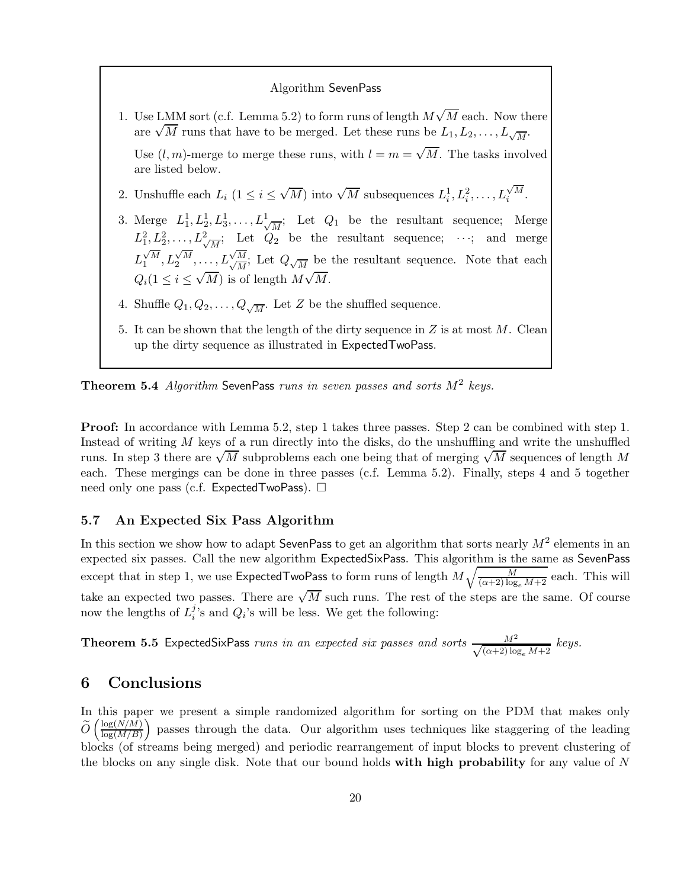#### Algorithm SevenPass

1. Use LMM sort (c.f. Lemma 5.2) to form runs of length  $M\sqrt{M}$  each. Now there are  $\sqrt{M}$  runs that have to be merged. Let these runs be  $L_1, L_2, \ldots, L_{\sqrt{M}}$ .

Use  $(l, m)$ -merge to merge these runs, with  $l = m = \sqrt{M}$ . The tasks involved are listed below.

- 2. Unshuffle each  $L_i$   $(1 \leq i \leq \sqrt{M})$  into  $\sqrt{M}$  subsequences  $L_i^1, L_i^2, \ldots, L_i^{\sqrt{M}}$ .
- 3. Merge  $L_1^1, L_2^1, L_3^1, \ldots, L_{\sqrt{M}}^1$ ; Let  $Q_1$  be the resultant sequence; Merge  $L_1^2, L_2^2, \ldots, L_{\sqrt{M}}^2$ ; Let  $Q_2$  be the resultant sequence;  $\cdots$ ; and merge  $L_1^{\sqrt{M}}, L_2^{\sqrt{M}}, \ldots, L_{\sqrt{M}}^{\sqrt{M}}$ √ M  $\frac{M}{M}$ ; Let  $Q_{\sqrt{M}}$  be the resultant sequence. Note that each  $Q_i(1 \leq i \leq \sqrt{M})$  is of length  $M\sqrt{M}$ .
- 4. Shuffle  $Q_1, Q_2, \ldots, Q_{\sqrt{M}}$ . Let Z be the shuffled sequence.
- 5. It can be shown that the length of the dirty sequence in  $Z$  is at most  $M$ . Clean up the dirty sequence as illustrated in ExpectedTwoPass.

**Theorem 5.4** Algorithm SevenPass runs in seven passes and sorts  $M^2$  keys.

Proof: In accordance with Lemma 5.2, step 1 takes three passes. Step 2 can be combined with step 1. Instead of writing M keys of a run directly into the disks, do the unshuffling and write the unshuffled runs. In step 3 there are  $\sqrt{M}$  subproblems each one being that of merging  $\sqrt{M}$  sequences of length M each. These mergings can be done in three passes (c.f. Lemma 5.2). Finally, steps 4 and 5 together need only one pass (c.f. Expected TwoPass).  $\Box$ 

### 5.7 An Expected Six Pass Algorithm

In this section we show how to adapt SevenPass to get an algorithm that sorts nearly  $M^2$  elements in an expected six passes. Call the new algorithm ExpectedSixPass. This algorithm is the same as SevenPass except that in step 1, we use Expected TwoPass to form runs of length  $M\sqrt{\frac{M}{(\alpha+2)\log_e M+2}}$  each. This will take an expected two passes. There are  $\sqrt{M}$  such runs. The rest of the steps are the same. Of course now the lengths of  $L_i^j$  $i$ 's and  $Q_i$ 's will be less. We get the following:

**Theorem 5.5** ExpectedSixPass runs in an expected six passes and sorts  $\frac{M^2}{\sqrt{(\alpha+2)\log_e M+2}}$  keys.

# 6 Conclusions

In this paper we present a simple randomized algorithm for sorting on the PDM that makes only  $\widetilde{O}\left(\frac{\log(N/M)}{\log(M/B)}\right)$  $log(M/B)$  passes through the data. Our algorithm uses techniques like staggering of the leading blocks (of streams being merged) and periodic rearrangement of input blocks to prevent clustering of the blocks on any single disk. Note that our bound holds with high probability for any value of  $N$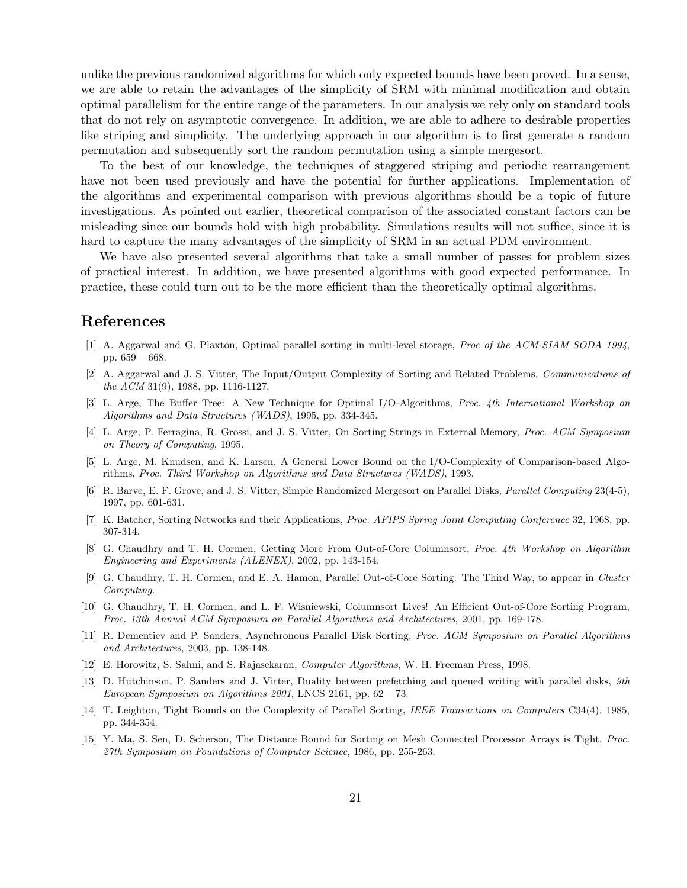unlike the previous randomized algorithms for which only expected bounds have been proved. In a sense, we are able to retain the advantages of the simplicity of SRM with minimal modification and obtain optimal parallelism for the entire range of the parameters. In our analysis we rely only on standard tools that do not rely on asymptotic convergence. In addition, we are able to adhere to desirable properties like striping and simplicity. The underlying approach in our algorithm is to first generate a random permutation and subsequently sort the random permutation using a simple mergesort.

To the best of our knowledge, the techniques of staggered striping and periodic rearrangement have not been used previously and have the potential for further applications. Implementation of the algorithms and experimental comparison with previous algorithms should be a topic of future investigations. As pointed out earlier, theoretical comparison of the associated constant factors can be misleading since our bounds hold with high probability. Simulations results will not suffice, since it is hard to capture the many advantages of the simplicity of SRM in an actual PDM environment.

We have also presented several algorithms that take a small number of passes for problem sizes of practical interest. In addition, we have presented algorithms with good expected performance. In practice, these could turn out to be the more efficient than the theoretically optimal algorithms.

# References

- [1] A. Aggarwal and G. Plaxton, Optimal parallel sorting in multi-level storage, Proc of the ACM-SIAM SODA 1994, pp. 659 – 668.
- [2] A. Aggarwal and J. S. Vitter, The Input/Output Complexity of Sorting and Related Problems, Communications of the ACM 31(9), 1988, pp. 1116-1127.
- [3] L. Arge, The Buffer Tree: A New Technique for Optimal I/O-Algorithms, Proc. 4th International Workshop on Algorithms and Data Structures (WADS), 1995, pp. 334-345.
- [4] L. Arge, P. Ferragina, R. Grossi, and J. S. Vitter, On Sorting Strings in External Memory, Proc. ACM Symposium on Theory of Computing, 1995.
- [5] L. Arge, M. Knudsen, and K. Larsen, A General Lower Bound on the I/O-Complexity of Comparison-based Algorithms, Proc. Third Workshop on Algorithms and Data Structures (WADS), 1993.
- [6] R. Barve, E. F. Grove, and J. S. Vitter, Simple Randomized Mergesort on Parallel Disks, Parallel Computing 23(4-5), 1997, pp. 601-631.
- [7] K. Batcher, Sorting Networks and their Applications, Proc. AFIPS Spring Joint Computing Conference 32, 1968, pp. 307-314.
- [8] G. Chaudhry and T. H. Cormen, Getting More From Out-of-Core Columnsort, Proc. 4th Workshop on Algorithm Engineering and Experiments (ALENEX), 2002, pp. 143-154.
- [9] G. Chaudhry, T. H. Cormen, and E. A. Hamon, Parallel Out-of-Core Sorting: The Third Way, to appear in Cluster Computing.
- [10] G. Chaudhry, T. H. Cormen, and L. F. Wisniewski, Columnsort Lives! An Efficient Out-of-Core Sorting Program, Proc. 13th Annual ACM Symposium on Parallel Algorithms and Architectures, 2001, pp. 169-178.
- [11] R. Dementiev and P. Sanders, Asynchronous Parallel Disk Sorting, Proc. ACM Symposium on Parallel Algorithms and Architectures, 2003, pp. 138-148.
- [12] E. Horowitz, S. Sahni, and S. Rajasekaran, Computer Algorithms, W. H. Freeman Press, 1998.
- [13] D. Hutchinson, P. Sanders and J. Vitter, Duality between prefetching and queued writing with parallel disks,  $9th$ European Symposium on Algorithms 2001, LNCS 2161, pp. 62 – 73.
- [14] T. Leighton, Tight Bounds on the Complexity of Parallel Sorting, IEEE Transactions on Computers C34(4), 1985, pp. 344-354.
- [15] Y. Ma, S. Sen, D. Scherson, The Distance Bound for Sorting on Mesh Connected Processor Arrays is Tight, Proc. 27th Symposium on Foundations of Computer Science, 1986, pp. 255-263.